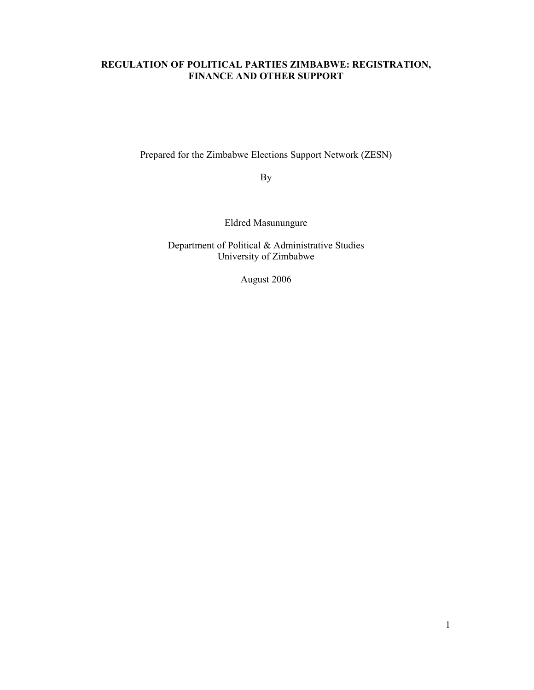## REGULATION OF POLITICAL PARTIES ZIMBABWE: REGISTRATION, FINANCE AND OTHER SUPPORT

Prepared for the Zimbabwe Elections Support Network (ZESN)

By

Eldred Masunungure

Department of Political & Administrative Studies University of Zimbabwe

August 2006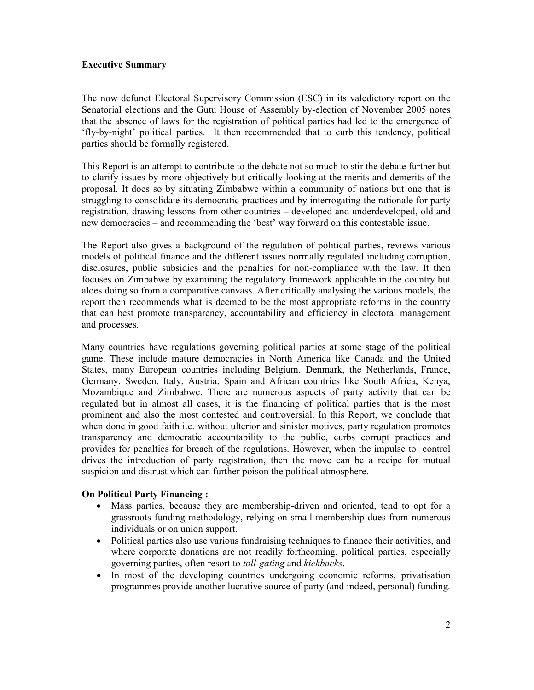### Executive Summary

The now defunct Electoral Supervisory Commission (ESC) in its valedictory report on the Senatorial elections and the Gutu House of Assembly by-election of November 2005 notes that the absence of laws for the registration of political parties had led to the emergence of 'fly-by-night' political parties. It then recommended that to curb this tendency, political parties should be formally registered.

This Report is an attempt to contribute to the debate not so much to stir the debate further but to clarify issues by more objectively but critically looking at the merits and demerits of the proposal. It does so by situating Zimbabwe within a community of nations but one that is struggling to consolidate its democratic practices and by interrogating the rationale for party registration, drawing lessons from other countries – developed and underdeveloped, old and new democracies – and recommending the 'best' way forward on this contestable issue.

The Report also gives a background of the regulation of political parties, reviews various models of political finance and the different issues normally regulated including corruption, disclosures, public subsidies and the penalties for non-compliance with the law. It then focuses on Zimbabwe by examining the regulatory framework applicable in the country but aloes doing so from a comparative canvass. After critically analysing the various models, the report then recommends what is deemed to be the most appropriate reforms in the country that can best promote transparency, accountability and efficiency in electoral management and processes.

Many countries have regulations governing political parties at some stage of the political game. These include mature democracies in North America like Canada and the United States, many European countries including Belgium, Denmark, the Netherlands, France, Germany, Sweden, Italy, Austria, Spain and African countries like South Africa, Kenya, Mozambique and Zimbabwe. There are numerous aspects of party activity that can be regulated but in almost all cases, it is the financing of political parties that is the most prominent and also the most contested and controversial. In this Report, we conclude that when done in good faith i.e. without ulterior and sinister motives, party regulation promotes transparency and democratic accountability to the public, curbs corrupt practices and provides for penalties for breach of the regulations. However, when the impulse to control drives the introduction of party registration, then the move can be a recipe for mutual suspicion and distrust which can further poison the political atmosphere.

### On Political Party Financing :

- Mass parties, because they are membership-driven and oriented, tend to opt for a grassroots funding methodology, relying on small membership dues from numerous individuals or on union support.
- Political parties also use various fundraising techniques to finance their activities, and where corporate donations are not readily forthcoming, political parties, especially governing parties, often resort to toll-gating and kickbacks.
- In most of the developing countries undergoing economic reforms, privatisation programmes provide another lucrative source of party (and indeed, personal) funding.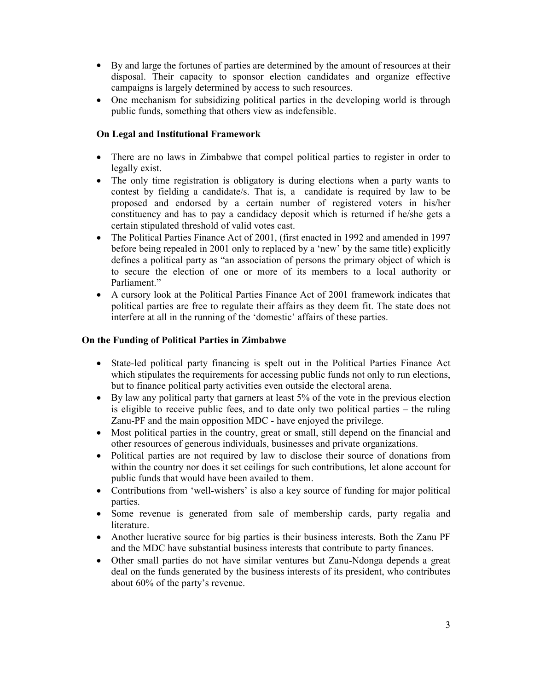- By and large the fortunes of parties are determined by the amount of resources at their disposal. Their capacity to sponsor election candidates and organize effective campaigns is largely determined by access to such resources.
- One mechanism for subsidizing political parties in the developing world is through public funds, something that others view as indefensible.

## On Legal and Institutional Framework

- There are no laws in Zimbabwe that compel political parties to register in order to legally exist.
- The only time registration is obligatory is during elections when a party wants to contest by fielding a candidate/s. That is, a candidate is required by law to be proposed and endorsed by a certain number of registered voters in his/her constituency and has to pay a candidacy deposit which is returned if he/she gets a certain stipulated threshold of valid votes cast.
- The Political Parties Finance Act of 2001, (first enacted in 1992 and amended in 1997 before being repealed in 2001 only to replaced by a 'new' by the same title) explicitly defines a political party as "an association of persons the primary object of which is to secure the election of one or more of its members to a local authority or Parliament."
- A cursory look at the Political Parties Finance Act of 2001 framework indicates that political parties are free to regulate their affairs as they deem fit. The state does not interfere at all in the running of the 'domestic' affairs of these parties.

## On the Funding of Political Parties in Zimbabwe

- State-led political party financing is spelt out in the Political Parties Finance Act which stipulates the requirements for accessing public funds not only to run elections, but to finance political party activities even outside the electoral arena.
- By law any political party that garners at least 5% of the vote in the previous election is eligible to receive public fees, and to date only two political parties – the ruling Zanu-PF and the main opposition MDC - have enjoyed the privilege.
- Most political parties in the country, great or small, still depend on the financial and other resources of generous individuals, businesses and private organizations.
- Political parties are not required by law to disclose their source of donations from within the country nor does it set ceilings for such contributions, let alone account for public funds that would have been availed to them.
- Contributions from 'well-wishers' is also a key source of funding for major political parties.
- Some revenue is generated from sale of membership cards, party regalia and literature.
- Another lucrative source for big parties is their business interests. Both the Zanu PF and the MDC have substantial business interests that contribute to party finances.
- Other small parties do not have similar ventures but Zanu-Ndonga depends a great deal on the funds generated by the business interests of its president, who contributes about 60% of the party's revenue.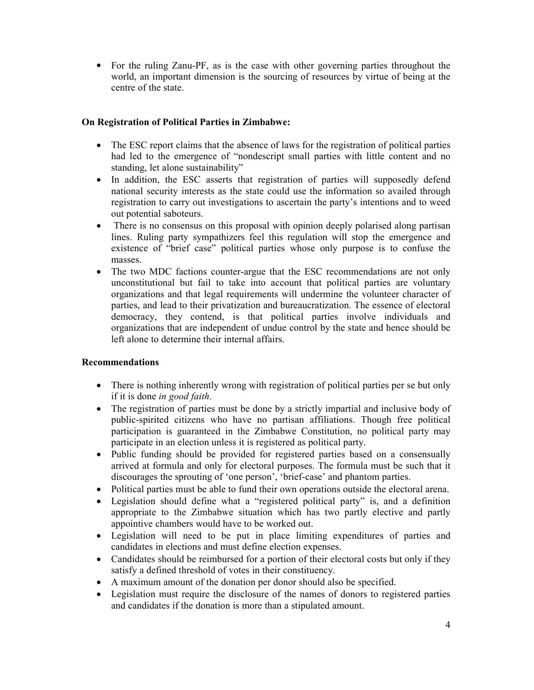• For the ruling Zanu-PF, as is the case with other governing parties throughout the world, an important dimension is the sourcing of resources by virtue of being at the centre of the state.

## On Registration of Political Parties in Zimbabwe:

- The ESC report claims that the absence of laws for the registration of political parties had led to the emergence of "nondescript small parties with little content and no standing, let alone sustainability"
- In addition, the ESC asserts that registration of parties will supposedly defend national security interests as the state could use the information so availed through registration to carry out investigations to ascertain the party's intentions and to weed out potential saboteurs.
- There is no consensus on this proposal with opinion deeply polarised along partisan lines. Ruling party sympathizers feel this regulation will stop the emergence and existence of "brief case" political parties whose only purpose is to confuse the masses.
- The two MDC factions counter-argue that the ESC recommendations are not only unconstitutional but fail to take into account that political parties are voluntary organizations and that legal requirements will undermine the volunteer character of parties, and lead to their privatization and bureaucratization. The essence of electoral democracy, they contend, is that political parties involve individuals and organizations that are independent of undue control by the state and hence should be left alone to determine their internal affairs.

### Recommendations

- There is nothing inherently wrong with registration of political parties per se but only if it is done in good faith.
- The registration of parties must be done by a strictly impartial and inclusive body of public-spirited citizens who have no partisan affiliations. Though free political participation is guaranteed in the Zimbabwe Constitution, no political party may participate in an election unless it is registered as political party.
- Public funding should be provided for registered parties based on a consensually arrived at formula and only for electoral purposes. The formula must be such that it discourages the sprouting of 'one person', 'brief-case' and phantom parties.
- Political parties must be able to fund their own operations outside the electoral arena.
- Legislation should define what a "registered political party" is, and a definition appropriate to the Zimbabwe situation which has two partly elective and partly appointive chambers would have to be worked out.
- Legislation will need to be put in place limiting expenditures of parties and candidates in elections and must define election expenses.
- Candidates should be reimbursed for a portion of their electoral costs but only if they satisfy a defined threshold of votes in their constituency.
- A maximum amount of the donation per donor should also be specified.
- Legislation must require the disclosure of the names of donors to registered parties and candidates if the donation is more than a stipulated amount.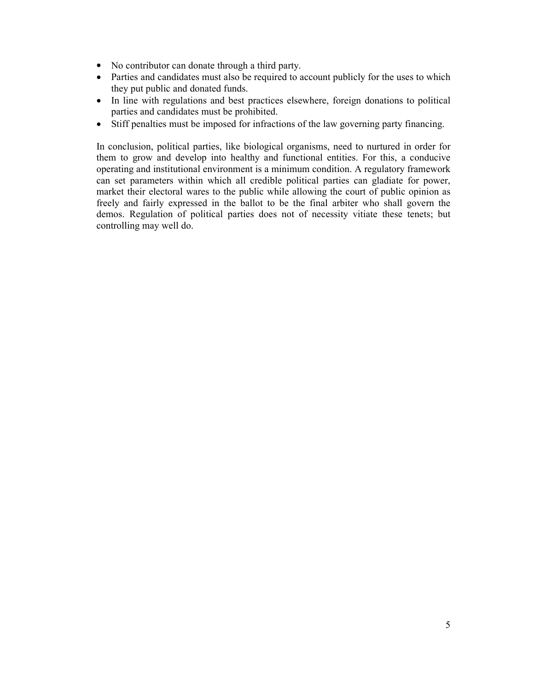- No contributor can donate through a third party.
- Parties and candidates must also be required to account publicly for the uses to which they put public and donated funds.
- In line with regulations and best practices elsewhere, foreign donations to political parties and candidates must be prohibited.
- Stiff penalties must be imposed for infractions of the law governing party financing.

In conclusion, political parties, like biological organisms, need to nurtured in order for them to grow and develop into healthy and functional entities. For this, a conducive operating and institutional environment is a minimum condition. A regulatory framework can set parameters within which all credible political parties can gladiate for power, market their electoral wares to the public while allowing the court of public opinion as freely and fairly expressed in the ballot to be the final arbiter who shall govern the demos. Regulation of political parties does not of necessity vitiate these tenets; but controlling may well do.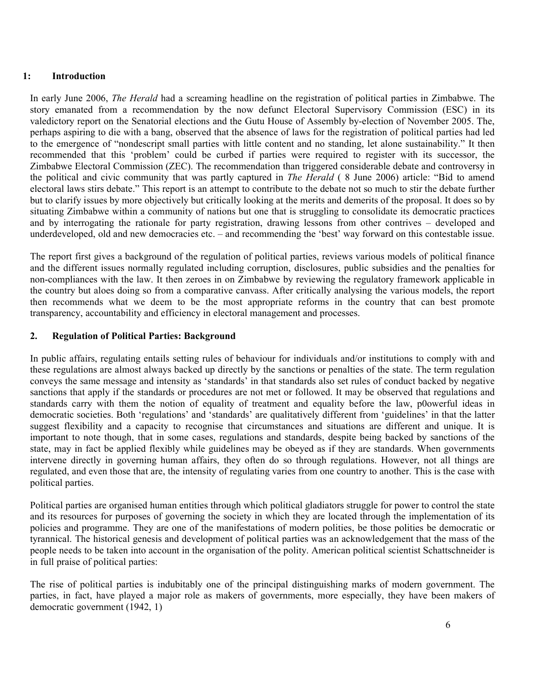### 1: Introduction

In early June 2006, *The Herald* had a screaming headline on the registration of political parties in Zimbabwe. The story emanated from a recommendation by the now defunct Electoral Supervisory Commission (ESC) in its valedictory report on the Senatorial elections and the Gutu House of Assembly by-election of November 2005. The, perhaps aspiring to die with a bang, observed that the absence of laws for the registration of political parties had led to the emergence of "nondescript small parties with little content and no standing, let alone sustainability." It then recommended that this 'problem' could be curbed if parties were required to register with its successor, the Zimbabwe Electoral Commission (ZEC). The recommendation than triggered considerable debate and controversy in the political and civic community that was partly captured in The Herald ( 8 June 2006) article: "Bid to amend electoral laws stirs debate." This report is an attempt to contribute to the debate not so much to stir the debate further but to clarify issues by more objectively but critically looking at the merits and demerits of the proposal. It does so by situating Zimbabwe within a community of nations but one that is struggling to consolidate its democratic practices and by interrogating the rationale for party registration, drawing lessons from other contrives – developed and underdeveloped, old and new democracies etc. – and recommending the 'best' way forward on this contestable issue.

The report first gives a background of the regulation of political parties, reviews various models of political finance and the different issues normally regulated including corruption, disclosures, public subsidies and the penalties for non-compliances with the law. It then zeroes in on Zimbabwe by reviewing the regulatory framework applicable in the country but aloes doing so from a comparative canvass. After critically analysing the various models, the report then recommends what we deem to be the most appropriate reforms in the country that can best promote transparency, accountability and efficiency in electoral management and processes.

### 2. Regulation of Political Parties: Background

In public affairs, regulating entails setting rules of behaviour for individuals and/or institutions to comply with and these regulations are almost always backed up directly by the sanctions or penalties of the state. The term regulation conveys the same message and intensity as 'standards' in that standards also set rules of conduct backed by negative sanctions that apply if the standards or procedures are not met or followed. It may be observed that regulations and standards carry with them the notion of equality of treatment and equality before the law, p0owerful ideas in democratic societies. Both 'regulations' and 'standards' are qualitatively different from 'guidelines' in that the latter suggest flexibility and a capacity to recognise that circumstances and situations are different and unique. It is important to note though, that in some cases, regulations and standards, despite being backed by sanctions of the state, may in fact be applied flexibly while guidelines may be obeyed as if they are standards. When governments intervene directly in governing human affairs, they often do so through regulations. However, not all things are regulated, and even those that are, the intensity of regulating varies from one country to another. This is the case with political parties.

Political parties are organised human entities through which political gladiators struggle for power to control the state and its resources for purposes of governing the society in which they are located through the implementation of its policies and programme. They are one of the manifestations of modern polities, be those polities be democratic or tyrannical. The historical genesis and development of political parties was an acknowledgement that the mass of the people needs to be taken into account in the organisation of the polity. American political scientist Schattschneider is in full praise of political parties:

The rise of political parties is indubitably one of the principal distinguishing marks of modern government. The parties, in fact, have played a major role as makers of governments, more especially, they have been makers of democratic government (1942, 1)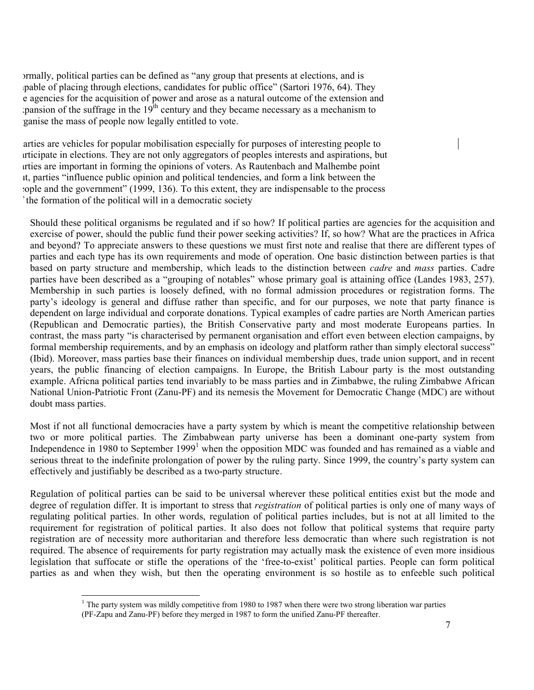Formally, political parties can be defined as "any group that presents at elections, and is pable of placing through elections, candidates for public office" (Sartori 1976, 64). They e agencies for the acquisition of power and arose as a natural outcome of the extension and pansion of the suffrage in the 19<sup>th</sup> century and they became necessary as a mechanism to ganise the mass of people now legally entitled to vote.

arties are vehicles for popular mobilisation especially for purposes of interesting people to participate in elections. They are not only aggregators of peoples interests and aspirations, but parties are important in forming the opinions of voters. As Rautenbach and Malhembe point it, parties "influence public opinion and political tendencies, and form a link between the people and the government" (1999, 136). To this extent, they are indispensable to the process the formation of the political will in a democratic society

Should these political organisms be regulated and if so how? If political parties are agencies for the acquisition and exercise of power, should the public fund their power seeking activities? If, so how? What are the practices in Africa and beyond? To appreciate answers to these questions we must first note and realise that there are different types of parties and each type has its own requirements and mode of operation. One basic distinction between parties is that based on party structure and membership, which leads to the distinction between *cadre* and *mass* parties. Cadre parties have been described as a "grouping of notables" whose primary goal is attaining office (Landes 1983, 257). Membership in such parties is loosely defined, with no formal admission procedures or registration forms. The party's ideology is general and diffuse rather than specific, and for our purposes, we note that party finance is dependent on large individual and corporate donations. Typical examples of cadre parties are North American parties (Republican and Democratic parties), the British Conservative party and most moderate Europeans parties. In contrast, the mass party "is characterised by permanent organisation and effort even between election campaigns, by formal membership requirements, and by an emphasis on ideology and platform rather than simply electoral success" (Ibid). Moreover, mass parties base their finances on individual membership dues, trade union support, and in recent years, the public financing of election campaigns. In Europe, the British Labour party is the most outstanding example. Africna political parties tend invariably to be mass parties and in Zimbabwe, the ruling Zimbabwe African National Union-Patriotic Front (Zanu-PF) and its nemesis the Movement for Democratic Change (MDC) are without doubt mass parties.

Most if not all functional democracies have a party system by which is meant the competitive relationship between two or more political parties. The Zimbabwean party universe has been a dominant one-party system from Independence in 1980 to September 1999<sup>1</sup> when the opposition MDC was founded and has remained as a viable and serious threat to the indefinite prolongation of power by the ruling party. Since 1999, the country's party system can effectively and justifiably be described as a two-party structure.

Regulation of political parties can be said to be universal wherever these political entities exist but the mode and degree of regulation differ. It is important to stress that *registration* of political parties is only one of many ways of regulating political parties. In other words, regulation of political parties includes, but is not at all limited to the requirement for registration of political parties. It also does not follow that political systems that require party registration are of necessity more authoritarian and therefore less democratic than where such registration is not required. The absence of requirements for party registration may actually mask the existence of even more insidious legislation that suffocate or stifle the operations of the 'free-to-exist' political parties. People can form political parties as and when they wish, but then the operating environment is so hostile as to enfeeble such political

 $\overline{a}$ 

<sup>&</sup>lt;sup>1</sup> The party system was mildly competitive from 1980 to 1987 when there were two strong liberation war parties

<sup>(</sup>PF-Zapu and Zanu-PF) before they merged in 1987 to form the unified Zanu-PF thereafter.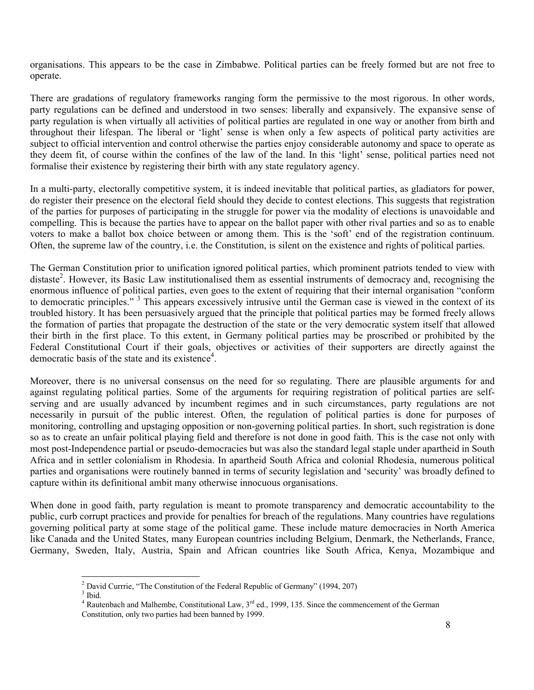organisations. This appears to be the case in Zimbabwe. Political parties can be freely formed but are not free to operate.

There are gradations of regulatory frameworks ranging form the permissive to the most rigorous. In other words, party regulations can be defined and understood in two senses: liberally and expansively. The expansive sense of party regulation is when virtually all activities of political parties are regulated in one way or another from birth and throughout their lifespan. The liberal or 'light' sense is when only a few aspects of political party activities are subject to official intervention and control otherwise the parties enjoy considerable autonomy and space to operate as they deem fit, of course within the confines of the law of the land. In this 'light' sense, political parties need not formalise their existence by registering their birth with any state regulatory agency.

In a multi-party, electorally competitive system, it is indeed inevitable that political parties, as gladiators for power, do register their presence on the electoral field should they decide to contest elections. This suggests that registration of the parties for purposes of participating in the struggle for power via the modality of elections is unavoidable and compelling. This is because the parties have to appear on the ballot paper with other rival parties and so as to enable voters to make a ballot box choice between or among them. This is the 'soft' end of the registration continuum. Often, the supreme law of the country, i.e. the Constitution, is silent on the existence and rights of political parties.

The German Constitution prior to unification ignored political parties, which prominent patriots tended to view with distaste<sup>2</sup>. However, its Basic Law institutionalised them as essential instruments of democracy and, recognising the enormous influence of political parties, even goes to the extent of requiring that their internal organisation "conform to democratic principles."<sup>3</sup> This appears excessively intrusive until the German case is viewed in the context of its troubled history. It has been persuasively argued that the principle that political parties may be formed freely allows the formation of parties that propagate the destruction of the state or the very democratic system itself that allowed their birth in the first place. To this extent, in Germany political parties may be proscribed or prohibited by the Federal Constitutional Court if their goals, objectives or activities of their supporters are directly against the democratic basis of the state and its existence<sup>4</sup> .

Moreover, there is no universal consensus on the need for so regulating. There are plausible arguments for and against regulating political parties. Some of the arguments for requiring registration of political parties are selfserving and are usually advanced by incumbent regimes and in such circumstances, party regulations are not necessarily in pursuit of the public interest. Often, the regulation of political parties is done for purposes of monitoring, controlling and upstaging opposition or non-governing political parties. In short, such registration is done so as to create an unfair political playing field and therefore is not done in good faith. This is the case not only with most post-Independence partial or pseudo-democracies but was also the standard legal staple under apartheid in South Africa and in settler colonialism in Rhodesia. In apartheid South Africa and colonial Rhodesia, numerous political parties and organisations were routinely banned in terms of security legislation and 'security' was broadly defined to capture within its definitional ambit many otherwise innocuous organisations.

When done in good faith, party regulation is meant to promote transparency and democratic accountability to the public, curb corrupt practices and provide for penalties for breach of the regulations. Many countries have regulations governing political party at some stage of the political game. These include mature democracies in North America like Canada and the United States, many European countries including Belgium, Denmark, the Netherlands, France, Germany, Sweden, Italy, Austria, Spain and African countries like South Africa, Kenya, Mozambique and

 2 David Currrie, "The Constitution of the Federal Republic of Germany" (1994, 207)

 $3$  Ibid.

<sup>&</sup>lt;sup>4</sup> Rautenbach and Malhembe, Constitutional Law,  $3<sup>rd</sup>$  ed., 1999, 135. Since the commencement of the German Constitution, only two parties had been banned by 1999.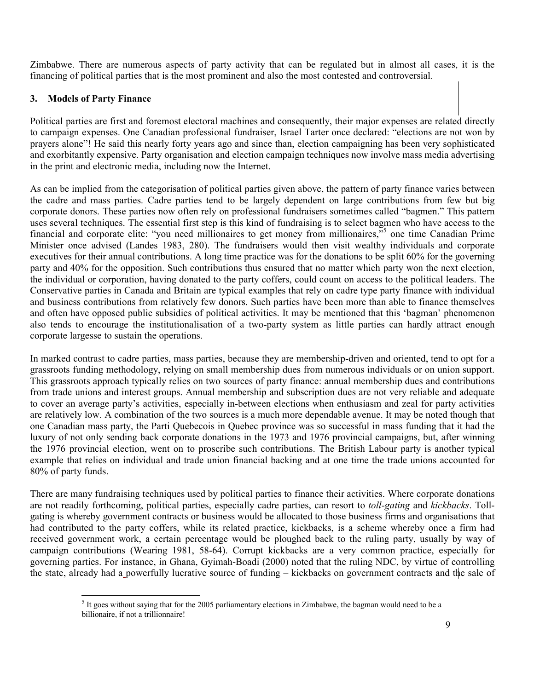Zimbabwe. There are numerous aspects of party activity that can be regulated but in almost all cases, it is the financing of political parties that is the most prominent and also the most contested and controversial.

# 3. Models of Party Finance

 $\overline{a}$ 

Political parties are first and foremost electoral machines and consequently, their major expenses are related directly to campaign expenses. One Canadian professional fundraiser, Israel Tarter once declared: "elections are not won by prayers alone"! He said this nearly forty years ago and since than, election campaigning has been very sophisticated and exorbitantly expensive. Party organisation and election campaign techniques now involve mass media advertising in the print and electronic media, including now the Internet.

As can be implied from the categorisation of political parties given above, the pattern of party finance varies between the cadre and mass parties. Cadre parties tend to be largely dependent on large contributions from few but big corporate donors. These parties now often rely on professional fundraisers sometimes called "bagmen." This pattern uses several techniques. The essential first step is this kind of fundraising is to select bagmen who have access to the financial and corporate elite: "you need millionaires to get money from millionaires,"<sup>5</sup> one time Canadian Prime Minister once advised (Landes 1983, 280). The fundraisers would then visit wealthy individuals and corporate executives for their annual contributions. A long time practice was for the donations to be split 60% for the governing party and 40% for the opposition. Such contributions thus ensured that no matter which party won the next election, the individual or corporation, having donated to the party coffers, could count on access to the political leaders. The Conservative parties in Canada and Britain are typical examples that rely on cadre type party finance with individual and business contributions from relatively few donors. Such parties have been more than able to finance themselves and often have opposed public subsidies of political activities. It may be mentioned that this 'bagman' phenomenon also tends to encourage the institutionalisation of a two-party system as little parties can hardly attract enough corporate largesse to sustain the operations.

In marked contrast to cadre parties, mass parties, because they are membership-driven and oriented, tend to opt for a grassroots funding methodology, relying on small membership dues from numerous individuals or on union support. This grassroots approach typically relies on two sources of party finance: annual membership dues and contributions from trade unions and interest groups. Annual membership and subscription dues are not very reliable and adequate to cover an average party's activities, especially in-between elections when enthusiasm and zeal for party activities are relatively low. A combination of the two sources is a much more dependable avenue. It may be noted though that one Canadian mass party, the Parti Quebecois in Quebec province was so successful in mass funding that it had the luxury of not only sending back corporate donations in the 1973 and 1976 provincial campaigns, but, after winning the 1976 provincial election, went on to proscribe such contributions. The British Labour party is another typical example that relies on individual and trade union financial backing and at one time the trade unions accounted for 80% of party funds.

There are many fundraising techniques used by political parties to finance their activities. Where corporate donations are not readily forthcoming, political parties, especially cadre parties, can resort to toll-gating and kickbacks. Tollgating is whereby government contracts or business would be allocated to those business firms and organisations that had contributed to the party coffers, while its related practice, kickbacks, is a scheme whereby once a firm had received government work, a certain percentage would be ploughed back to the ruling party, usually by way of campaign contributions (Wearing 1981, 58-64). Corrupt kickbacks are a very common practice, especially for governing parties. For instance, in Ghana, Gyimah-Boadi (2000) noted that the ruling NDC, by virtue of controlling the state, already had a powerfully lucrative source of funding – kickbacks on government contracts and the sale of

 $<sup>5</sup>$  It goes without saying that for the 2005 parliamentary elections in Zimbabwe, the bagman would need to be a</sup> billionaire, if not a trillionnaire!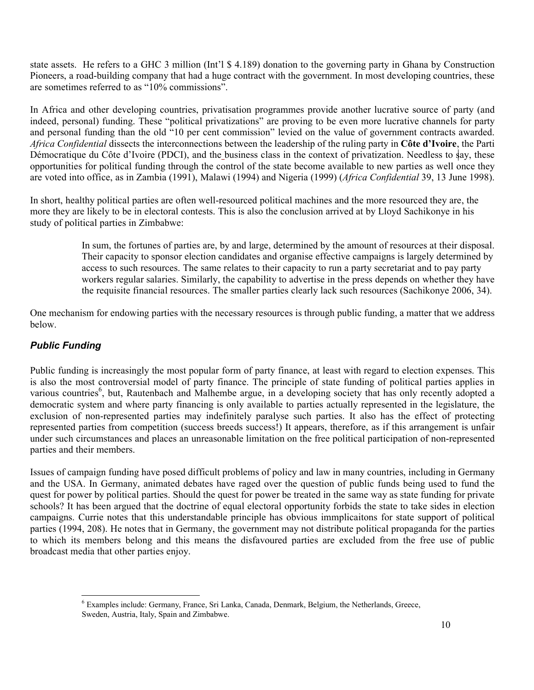state assets. He refers to a GHC 3 million (Int'l \$ 4.189) donation to the governing party in Ghana by Construction Pioneers, a road-building company that had a huge contract with the government. In most developing countries, these are sometimes referred to as "10% commissions".

In Africa and other developing countries, privatisation programmes provide another lucrative source of party (and indeed, personal) funding. These "political privatizations" are proving to be even more lucrative channels for party and personal funding than the old "10 per cent commission" levied on the value of government contracts awarded. Africa Confidential dissects the interconnections between the leadership of the ruling party in Côte d'Ivoire, the Parti Démocratique du Côte d'Ivoire (PDCI), and the business class in the context of privatization. Needless to  $\frac{1}{3}$ y, these opportunities for political funding through the control of the state become available to new parties as well once they are voted into office, as in Zambia (1991), Malawi (1994) and Nigeria (1999) (Africa Confidential 39, 13 June 1998).

In short, healthy political parties are often well-resourced political machines and the more resourced they are, the more they are likely to be in electoral contests. This is also the conclusion arrived at by Lloyd Sachikonye in his study of political parties in Zimbabwe:

> In sum, the fortunes of parties are, by and large, determined by the amount of resources at their disposal. Their capacity to sponsor election candidates and organise effective campaigns is largely determined by access to such resources. The same relates to their capacity to run a party secretariat and to pay party workers regular salaries. Similarly, the capability to advertise in the press depends on whether they have the requisite financial resources. The smaller parties clearly lack such resources (Sachikonye 2006, 34).

One mechanism for endowing parties with the necessary resources is through public funding, a matter that we address below.

# Public Funding

Public funding is increasingly the most popular form of party finance, at least with regard to election expenses. This is also the most controversial model of party finance. The principle of state funding of political parties applies in various countries<sup>6</sup>, but, Rautenbach and Malhembe argue, in a developing society that has only recently adopted a democratic system and where party financing is only available to parties actually represented in the legislature, the exclusion of non-represented parties may indefinitely paralyse such parties. It also has the effect of protecting represented parties from competition (success breeds success!) It appears, therefore, as if this arrangement is unfair under such circumstances and places an unreasonable limitation on the free political participation of non-represented parties and their members.

Issues of campaign funding have posed difficult problems of policy and law in many countries, including in Germany and the USA. In Germany, animated debates have raged over the question of public funds being used to fund the quest for power by political parties. Should the quest for power be treated in the same way as state funding for private schools? It has been argued that the doctrine of equal electoral opportunity forbids the state to take sides in election campaigns. Currie notes that this understandable principle has obvious immplicaitons for state support of political parties (1994, 208). He notes that in Germany, the government may not distribute political propaganda for the parties to which its members belong and this means the disfavoured parties are excluded from the free use of public broadcast media that other parties enjoy.

<sup>-</sup><sup>6</sup> Examples include: Germany, France, Sri Lanka, Canada, Denmark, Belgium, the Netherlands, Greece, Sweden, Austria, Italy, Spain and Zimbabwe.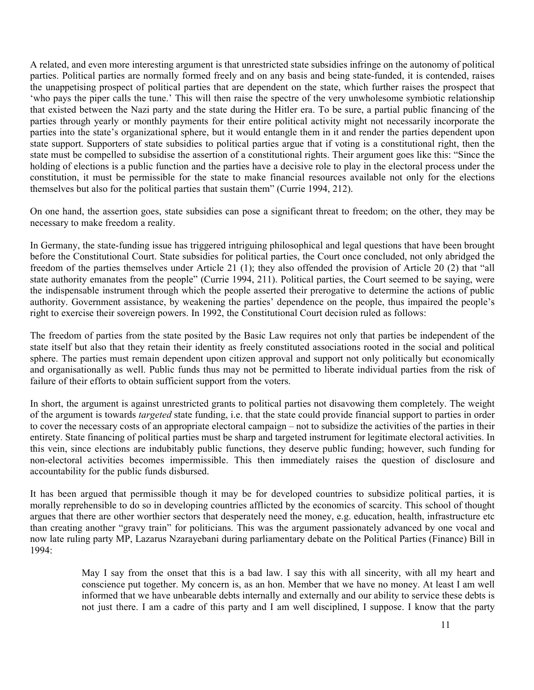A related, and even more interesting argument is that unrestricted state subsidies infringe on the autonomy of political parties. Political parties are normally formed freely and on any basis and being state-funded, it is contended, raises the unappetising prospect of political parties that are dependent on the state, which further raises the prospect that 'who pays the piper calls the tune.' This will then raise the spectre of the very unwholesome symbiotic relationship that existed between the Nazi party and the state during the Hitler era. To be sure, a partial public financing of the parties through yearly or monthly payments for their entire political activity might not necessarily incorporate the parties into the state's organizational sphere, but it would entangle them in it and render the parties dependent upon state support. Supporters of state subsidies to political parties argue that if voting is a constitutional right, then the state must be compelled to subsidise the assertion of a constitutional rights. Their argument goes like this: "Since the holding of elections is a public function and the parties have a decisive role to play in the electoral process under the constitution, it must be permissible for the state to make financial resources available not only for the elections themselves but also for the political parties that sustain them" (Currie 1994, 212).

On one hand, the assertion goes, state subsidies can pose a significant threat to freedom; on the other, they may be necessary to make freedom a reality.

In Germany, the state-funding issue has triggered intriguing philosophical and legal questions that have been brought before the Constitutional Court. State subsidies for political parties, the Court once concluded, not only abridged the freedom of the parties themselves under Article 21 (1); they also offended the provision of Article 20 (2) that "all state authority emanates from the people" (Currie 1994, 211). Political parties, the Court seemed to be saying, were the indispensable instrument through which the people asserted their prerogative to determine the actions of public authority. Government assistance, by weakening the parties' dependence on the people, thus impaired the people's right to exercise their sovereign powers. In 1992, the Constitutional Court decision ruled as follows:

The freedom of parties from the state posited by the Basic Law requires not only that parties be independent of the state itself but also that they retain their identity as freely constituted associations rooted in the social and political sphere. The parties must remain dependent upon citizen approval and support not only politically but economically and organisationally as well. Public funds thus may not be permitted to liberate individual parties from the risk of failure of their efforts to obtain sufficient support from the voters.

In short, the argument is against unrestricted grants to political parties not disavowing them completely. The weight of the argument is towards targeted state funding, i.e. that the state could provide financial support to parties in order to cover the necessary costs of an appropriate electoral campaign – not to subsidize the activities of the parties in their entirety. State financing of political parties must be sharp and targeted instrument for legitimate electoral activities. In this vein, since elections are indubitably public functions, they deserve public funding; however, such funding for non-electoral activities becomes impermissible. This then immediately raises the question of disclosure and accountability for the public funds disbursed.

It has been argued that permissible though it may be for developed countries to subsidize political parties, it is morally reprehensible to do so in developing countries afflicted by the economics of scarcity. This school of thought argues that there are other worthier sectors that desperately need the money, e.g. education, health, infrastructure etc than creating another "gravy train" for politicians. This was the argument passionately advanced by one vocal and now late ruling party MP, Lazarus Nzarayebani during parliamentary debate on the Political Parties (Finance) Bill in 1994:

> May I say from the onset that this is a bad law. I say this with all sincerity, with all my heart and conscience put together. My concern is, as an hon. Member that we have no money. At least I am well informed that we have unbearable debts internally and externally and our ability to service these debts is not just there. I am a cadre of this party and I am well disciplined, I suppose. I know that the party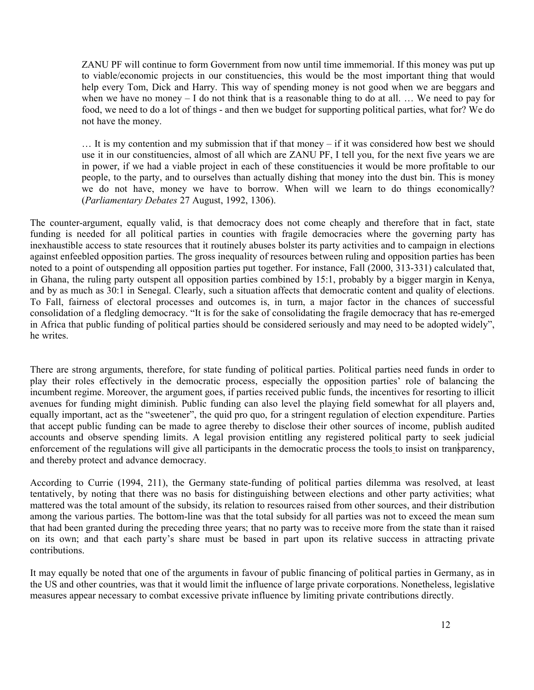ZANU PF will continue to form Government from now until time immemorial. If this money was put up to viable/economic projects in our constituencies, this would be the most important thing that would help every Tom, Dick and Harry. This way of spending money is not good when we are beggars and when we have no money – I do not think that is a reasonable thing to do at all. ... We need to pay for food, we need to do a lot of things - and then we budget for supporting political parties, what for? We do not have the money.

… It is my contention and my submission that if that money – if it was considered how best we should use it in our constituencies, almost of all which are ZANU PF, I tell you, for the next five years we are in power, if we had a viable project in each of these constituencies it would be more profitable to our people, to the party, and to ourselves than actually dishing that money into the dust bin. This is money we do not have, money we have to borrow. When will we learn to do things economically? (Parliamentary Debates 27 August, 1992, 1306).

The counter-argument, equally valid, is that democracy does not come cheaply and therefore that in fact, state funding is needed for all political parties in counties with fragile democracies where the governing party has inexhaustible access to state resources that it routinely abuses bolster its party activities and to campaign in elections against enfeebled opposition parties. The gross inequality of resources between ruling and opposition parties has been noted to a point of outspending all opposition parties put together. For instance, Fall (2000, 313-331) calculated that, in Ghana, the ruling party outspent all opposition parties combined by 15:1, probably by a bigger margin in Kenya, and by as much as 30:1 in Senegal. Clearly, such a situation affects that democratic content and quality of elections. To Fall, fairness of electoral processes and outcomes is, in turn, a major factor in the chances of successful consolidation of a fledgling democracy. "It is for the sake of consolidating the fragile democracy that has re-emerged in Africa that public funding of political parties should be considered seriously and may need to be adopted widely", he writes.

There are strong arguments, therefore, for state funding of political parties. Political parties need funds in order to play their roles effectively in the democratic process, especially the opposition parties' role of balancing the incumbent regime. Moreover, the argument goes, if parties received public funds, the incentives for resorting to illicit avenues for funding might diminish. Public funding can also level the playing field somewhat for all players and, equally important, act as the "sweetener", the quid pro quo, for a stringent regulation of election expenditure. Parties that accept public funding can be made to agree thereby to disclose their other sources of income, publish audited accounts and observe spending limits. A legal provision entitling any registered political party to seek judicial enforcement of the regulations will give all participants in the democratic process the tools to insist on transparency, and thereby protect and advance democracy.

According to Currie (1994, 211), the Germany state-funding of political parties dilemma was resolved, at least tentatively, by noting that there was no basis for distinguishing between elections and other party activities; what mattered was the total amount of the subsidy, its relation to resources raised from other sources, and their distribution among the various parties. The bottom-line was that the total subsidy for all parties was not to exceed the mean sum that had been granted during the preceding three years; that no party was to receive more from the state than it raised on its own; and that each party's share must be based in part upon its relative success in attracting private contributions.

It may equally be noted that one of the arguments in favour of public financing of political parties in Germany, as in the US and other countries, was that it would limit the influence of large private corporations. Nonetheless, legislative measures appear necessary to combat excessive private influence by limiting private contributions directly.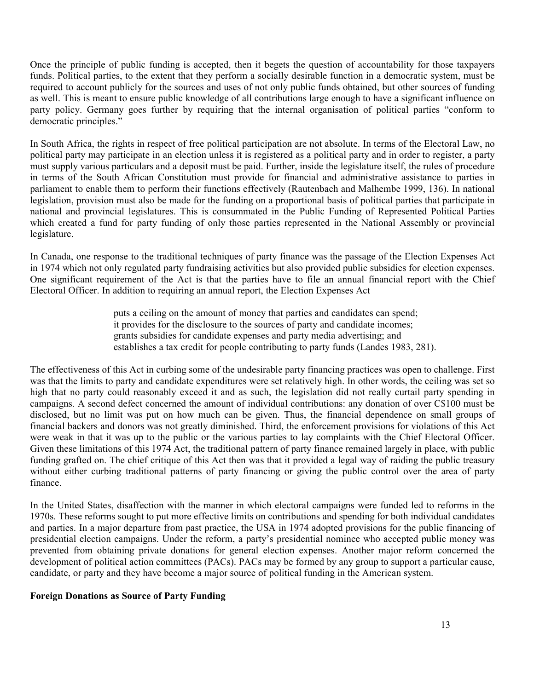Once the principle of public funding is accepted, then it begets the question of accountability for those taxpayers funds. Political parties, to the extent that they perform a socially desirable function in a democratic system, must be required to account publicly for the sources and uses of not only public funds obtained, but other sources of funding as well. This is meant to ensure public knowledge of all contributions large enough to have a significant influence on party policy. Germany goes further by requiring that the internal organisation of political parties "conform to democratic principles."

In South Africa, the rights in respect of free political participation are not absolute. In terms of the Electoral Law, no political party may participate in an election unless it is registered as a political party and in order to register, a party must supply various particulars and a deposit must be paid. Further, inside the legislature itself, the rules of procedure in terms of the South African Constitution must provide for financial and administrative assistance to parties in parliament to enable them to perform their functions effectively (Rautenbach and Malhembe 1999, 136). In national legislation, provision must also be made for the funding on a proportional basis of political parties that participate in national and provincial legislatures. This is consummated in the Public Funding of Represented Political Parties which created a fund for party funding of only those parties represented in the National Assembly or provincial legislature.

In Canada, one response to the traditional techniques of party finance was the passage of the Election Expenses Act in 1974 which not only regulated party fundraising activities but also provided public subsidies for election expenses. One significant requirement of the Act is that the parties have to file an annual financial report with the Chief Electoral Officer. In addition to requiring an annual report, the Election Expenses Act

> puts a ceiling on the amount of money that parties and candidates can spend; it provides for the disclosure to the sources of party and candidate incomes; grants subsidies for candidate expenses and party media advertising; and establishes a tax credit for people contributing to party funds (Landes 1983, 281).

The effectiveness of this Act in curbing some of the undesirable party financing practices was open to challenge. First was that the limits to party and candidate expenditures were set relatively high. In other words, the ceiling was set so high that no party could reasonably exceed it and as such, the legislation did not really curtail party spending in campaigns. A second defect concerned the amount of individual contributions: any donation of over C\$100 must be disclosed, but no limit was put on how much can be given. Thus, the financial dependence on small groups of financial backers and donors was not greatly diminished. Third, the enforcement provisions for violations of this Act were weak in that it was up to the public or the various parties to lay complaints with the Chief Electoral Officer. Given these limitations of this 1974 Act, the traditional pattern of party finance remained largely in place, with public funding grafted on. The chief critique of this Act then was that it provided a legal way of raiding the public treasury without either curbing traditional patterns of party financing or giving the public control over the area of party finance.

In the United States, disaffection with the manner in which electoral campaigns were funded led to reforms in the 1970s. These reforms sought to put more effective limits on contributions and spending for both individual candidates and parties. In a major departure from past practice, the USA in 1974 adopted provisions for the public financing of presidential election campaigns. Under the reform, a party's presidential nominee who accepted public money was prevented from obtaining private donations for general election expenses. Another major reform concerned the development of political action committees (PACs). PACs may be formed by any group to support a particular cause, candidate, or party and they have become a major source of political funding in the American system.

### Foreign Donations as Source of Party Funding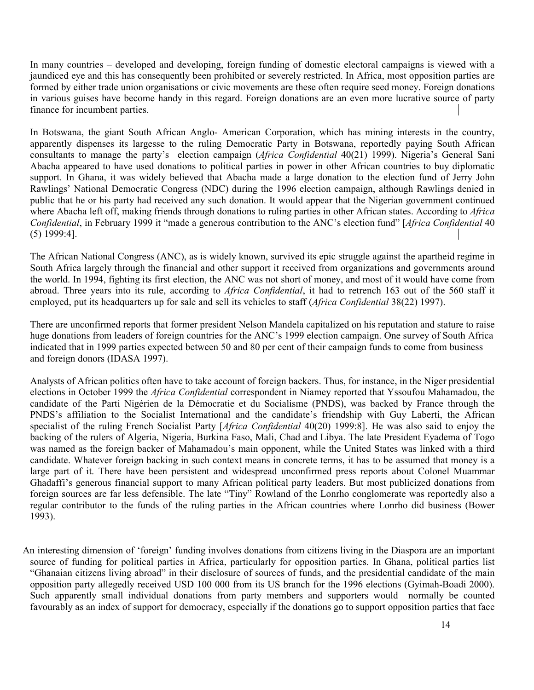In many countries – developed and developing, foreign funding of domestic electoral campaigns is viewed with a jaundiced eye and this has consequently been prohibited or severely restricted. In Africa, most opposition parties are formed by either trade union organisations or civic movements are these often require seed money. Foreign donations in various guises have become handy in this regard. Foreign donations are an even more lucrative source of party finance for incumbent parties.

In Botswana, the giant South African Anglo- American Corporation, which has mining interests in the country, apparently dispenses its largesse to the ruling Democratic Party in Botswana, reportedly paying South African consultants to manage the party's election campaign (Africa Confidential 40(21) 1999). Nigeria's General Sani Abacha appeared to have used donations to political parties in power in other African countries to buy diplomatic support. In Ghana, it was widely believed that Abacha made a large donation to the election fund of Jerry John Rawlings' National Democratic Congress (NDC) during the 1996 election campaign, although Rawlings denied in public that he or his party had received any such donation. It would appear that the Nigerian government continued where Abacha left off, making friends through donations to ruling parties in other African states. According to Africa Confidential, in February 1999 it "made a generous contribution to the ANC's election fund" [Africa Confidential 40 (5) 1999:4].

The African National Congress (ANC), as is widely known, survived its epic struggle against the apartheid regime in South Africa largely through the financial and other support it received from organizations and governments around the world. In 1994, fighting its first election, the ANC was not short of money, and most of it would have come from abroad. Three years into its rule, according to Africa Confidential, it had to retrench 163 out of the 560 staff it employed, put its headquarters up for sale and sell its vehicles to staff (Africa Confidential 38(22) 1997).

There are unconfirmed reports that former president Nelson Mandela capitalized on his reputation and stature to raise huge donations from leaders of foreign countries for the ANC's 1999 election campaign. One survey of South Africa indicated that in 1999 parties expected between 50 and 80 per cent of their campaign funds to come from business and foreign donors (IDASA 1997).

Analysts of African politics often have to take account of foreign backers. Thus, for instance, in the Niger presidential elections in October 1999 the Africa Confidential correspondent in Niamey reported that Yssoufou Mahamadou, the candidate of the Parti Nigérien de la Démocratie et du Socialisme (PNDS), was backed by France through the PNDS's affiliation to the Socialist International and the candidate's friendship with Guy Laberti, the African specialist of the ruling French Socialist Party [Africa Confidential 40(20) 1999:8]. He was also said to enjoy the backing of the rulers of Algeria, Nigeria, Burkina Faso, Mali, Chad and Libya. The late President Eyadema of Togo was named as the foreign backer of Mahamadou's main opponent, while the United States was linked with a third candidate. Whatever foreign backing in such context means in concrete terms, it has to be assumed that money is a large part of it. There have been persistent and widespread unconfirmed press reports about Colonel Muammar Ghadaffi's generous financial support to many African political party leaders. But most publicized donations from foreign sources are far less defensible. The late "Tiny" Rowland of the Lonrho conglomerate was reportedly also a regular contributor to the funds of the ruling parties in the African countries where Lonrho did business (Bower 1993).

An interesting dimension of 'foreign' funding involves donations from citizens living in the Diaspora are an important source of funding for political parties in Africa, particularly for opposition parties. In Ghana, political parties list "Ghanaian citizens living abroad" in their disclosure of sources of funds, and the presidential candidate of the main opposition party allegedly received USD 100 000 from its US branch for the 1996 elections (Gyimah-Boadi 2000). Such apparently small individual donations from party members and supporters would normally be counted favourably as an index of support for democracy, especially if the donations go to support opposition parties that face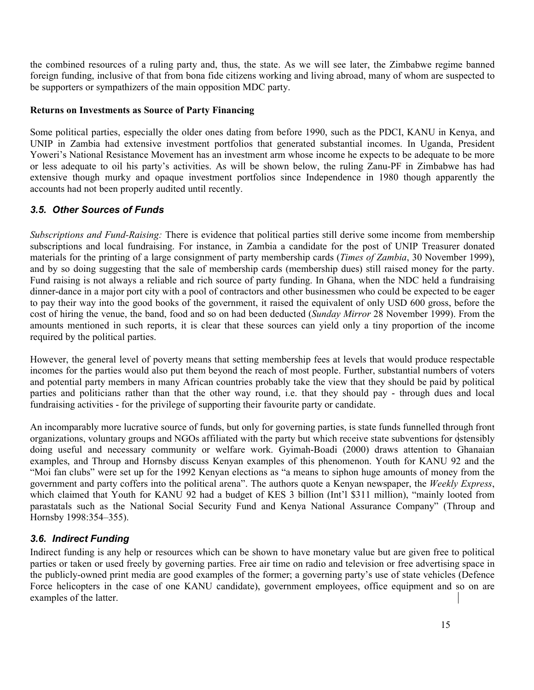the combined resources of a ruling party and, thus, the state. As we will see later, the Zimbabwe regime banned foreign funding, inclusive of that from bona fide citizens working and living abroad, many of whom are suspected to be supporters or sympathizers of the main opposition MDC party.

### Returns on Investments as Source of Party Financing

Some political parties, especially the older ones dating from before 1990, such as the PDCI, KANU in Kenya, and UNIP in Zambia had extensive investment portfolios that generated substantial incomes. In Uganda, President Yoweri's National Resistance Movement has an investment arm whose income he expects to be adequate to be more or less adequate to oil his party's activities. As will be shown below, the ruling Zanu-PF in Zimbabwe has had extensive though murky and opaque investment portfolios since Independence in 1980 though apparently the accounts had not been properly audited until recently.

# 3.5. Other Sources of Funds

Subscriptions and Fund-Raising: There is evidence that political parties still derive some income from membership subscriptions and local fundraising. For instance, in Zambia a candidate for the post of UNIP Treasurer donated materials for the printing of a large consignment of party membership cards (Times of Zambia, 30 November 1999), and by so doing suggesting that the sale of membership cards (membership dues) still raised money for the party. Fund raising is not always a reliable and rich source of party funding. In Ghana, when the NDC held a fundraising dinner-dance in a major port city with a pool of contractors and other businessmen who could be expected to be eager to pay their way into the good books of the government, it raised the equivalent of only USD 600 gross, before the cost of hiring the venue, the band, food and so on had been deducted (Sunday Mirror 28 November 1999). From the amounts mentioned in such reports, it is clear that these sources can yield only a tiny proportion of the income required by the political parties.

However, the general level of poverty means that setting membership fees at levels that would produce respectable incomes for the parties would also put them beyond the reach of most people. Further, substantial numbers of voters and potential party members in many African countries probably take the view that they should be paid by political parties and politicians rather than that the other way round, i.e. that they should pay - through dues and local fundraising activities - for the privilege of supporting their favourite party or candidate.

An incomparably more lucrative source of funds, but only for governing parties, is state funds funnelled through front organizations, voluntary groups and NGOs affiliated with the party but which receive state subventions for  $\dot{\phi}$ stensibly doing useful and necessary community or welfare work. Gyimah-Boadi (2000) draws attention to Ghanaian examples, and Throup and Hornsby discuss Kenyan examples of this phenomenon. Youth for KANU 92 and the "Moi fan clubs" were set up for the 1992 Kenyan elections as "a means to siphon huge amounts of money from the government and party coffers into the political arena". The authors quote a Kenyan newspaper, the Weekly Express, which claimed that Youth for KANU 92 had a budget of KES 3 billion (Int'l \$311 million), "mainly looted from parastatals such as the National Social Security Fund and Kenya National Assurance Company" (Throup and Hornsby 1998:354–355).

# 3.6. Indirect Funding

Indirect funding is any help or resources which can be shown to have monetary value but are given free to political parties or taken or used freely by governing parties. Free air time on radio and television or free advertising space in the publicly-owned print media are good examples of the former; a governing party's use of state vehicles (Defence Force helicopters in the case of one KANU candidate), government employees, office equipment and so on are examples of the latter.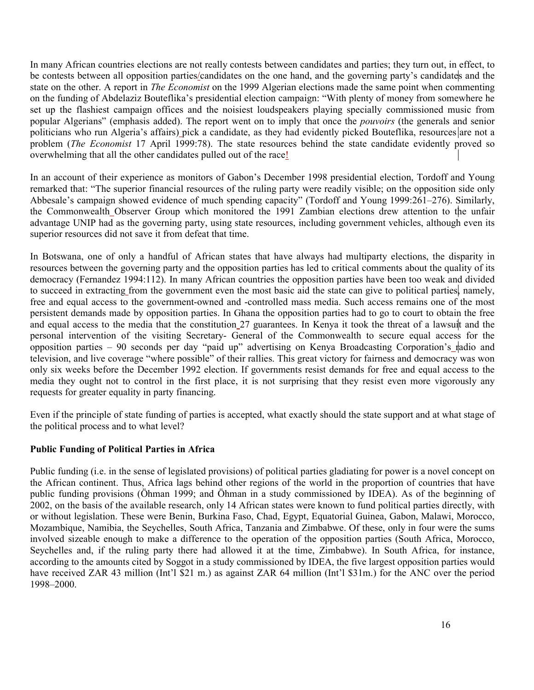In many African countries elections are not really contests between candidates and parties; they turn out, in effect, to be contests between all opposition parties/candidates on the one hand, and the governing party's candidates and the state on the other. A report in *The Economist* on the 1999 Algerian elections made the same point when commenting on the funding of Abdelaziz Bouteflika's presidential election campaign: "With plenty of money from somewhere he set up the flashiest campaign offices and the noisiest loudspeakers playing specially commissioned music from popular Algerians" (emphasis added). The report went on to imply that once the pouvoirs (the generals and senior politicians who run Algeria's affairs) pick a candidate, as they had evidently picked Bouteflika, resources are not a problem (The Economist 17 April 1999:78). The state resources behind the state candidate evidently proved so overwhelming that all the other candidates pulled out of the race!

In an account of their experience as monitors of Gabon's December 1998 presidential election, Tordoff and Young remarked that: "The superior financial resources of the ruling party were readily visible; on the opposition side only Abbesale's campaign showed evidence of much spending capacity" (Tordoff and Young 1999:261–276). Similarly, the Commonwealth Observer Group which monitored the 1991 Zambian elections drew attention to the unfair advantage UNIP had as the governing party, using state resources, including government vehicles, although even its superior resources did not save it from defeat that time.

In Botswana, one of only a handful of African states that have always had multiparty elections, the disparity in resources between the governing party and the opposition parties has led to critical comments about the quality of its democracy (Fernandez 1994:112). In many African countries the opposition parties have been too weak and divided to succeed in extracting from the government even the most basic aid the state can give to political parties, namely, free and equal access to the government-owned and -controlled mass media. Such access remains one of the most persistent demands made by opposition parties. In Ghana the opposition parties had to go to court to obtain the free and equal access to the media that the constitution 27 guarantees. In Kenya it took the threat of a lawsuit and the personal intervention of the visiting Secretary- General of the Commonwealth to secure equal access for the opposition parties – 90 seconds per day "paid up" advertising on Kenya Broadcasting Corporation's radio and television, and live coverage "where possible" of their rallies. This great victory for fairness and democracy was won only six weeks before the December 1992 election. If governments resist demands for free and equal access to the media they ought not to control in the first place, it is not surprising that they resist even more vigorously any requests for greater equality in party financing.

Even if the principle of state funding of parties is accepted, what exactly should the state support and at what stage of the political process and to what level?

## Public Funding of Political Parties in Africa

Public funding (i.e. in the sense of legislated provisions) of political parties gladiating for power is a novel concept on the African continent. Thus, Africa lags behind other regions of the world in the proportion of countries that have public funding provisions (Öhman 1999; and Öhman in a study commissioned by IDEA). As of the beginning of 2002, on the basis of the available research, only 14 African states were known to fund political parties directly, with or without legislation. These were Benin, Burkina Faso, Chad, Egypt, Equatorial Guinea, Gabon, Malawi, Morocco, Mozambique, Namibia, the Seychelles, South Africa, Tanzania and Zimbabwe. Of these, only in four were the sums involved sizeable enough to make a difference to the operation of the opposition parties (South Africa, Morocco, Seychelles and, if the ruling party there had allowed it at the time, Zimbabwe). In South Africa, for instance, according to the amounts cited by Soggot in a study commissioned by IDEA, the five largest opposition parties would have received ZAR 43 million (Int'l \$21 m.) as against ZAR 64 million (Int'l \$31m.) for the ANC over the period 1998–2000.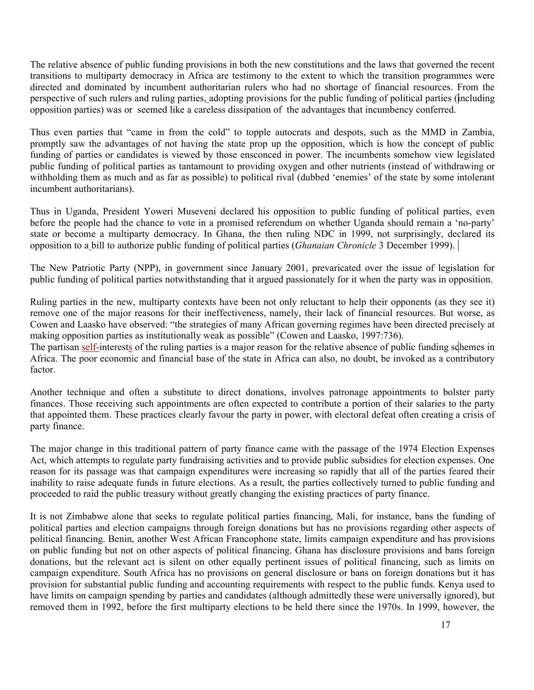The relative absence of public funding provisions in both the new constitutions and the laws that governed the recent transitions to multiparty democracy in Africa are testimony to the extent to which the transition programmes were directed and dominated by incumbent authoritarian rulers who had no shortage of financial resources. From the perspective of such rulers and ruling parties, adopting provisions for the public funding of political parties (including opposition parties) was or seemed like a careless dissipation of the advantages that incumbency conferred.

Thus even parties that "came in from the cold" to topple autocrats and despots, such as the MMD in Zambia, promptly saw the advantages of not having the state prop up the opposition, which is how the concept of public funding of parties or candidates is viewed by those ensconced in power. The incumbents somehow view legislated public funding of political parties as tantamount to providing oxygen and other nutrients (instead of withdrawing or withholding them as much and as far as possible) to political rival (dubbed 'enemies' of the state by some intolerant incumbent authoritarians).

Thus in Uganda, President Yoweri Museveni declared his opposition to public funding of political parties, even before the people had the chance to vote in a promised referendum on whether Uganda should remain a 'no-party' state or become a multiparty democracy. In Ghana, the then ruling NDC in 1999, not surprisingly, declared its opposition to a bill to authorize public funding of political parties (Ghanaian Chronicle 3 December 1999).

The New Patriotic Party (NPP), in government since January 2001, prevaricated over the issue of legislation for public funding of political parties notwithstanding that it argued passionately for it when the party was in opposition.

Ruling parties in the new, multiparty contexts have been not only reluctant to help their opponents (as they see it) remove one of the major reasons for their ineffectiveness, namely, their lack of financial resources. But worse, as Cowen and Laasko have observed: "the strategies of many African governing regimes have been directed precisely at making opposition parties as institutionally weak as possible" (Cowen and Laasko, 1997:736).

The partisan self-interests of the ruling parties is a major reason for the relative absence of public funding schemes in Africa. The poor economic and financial base of the state in Africa can also, no doubt, be invoked as a contributory factor.

Another technique and often a substitute to direct donations, involves patronage appointments to bolster party finances. Those receiving such appointments are often expected to contribute a portion of their salaries to the party that appointed them. These practices clearly favour the party in power, with electoral defeat often creating a crisis of party finance.

The major change in this traditional pattern of party finance came with the passage of the 1974 Election Expenses Act, which attempts to regulate party fundraising activities and to provide public subsidies for election expenses. One reason for its passage was that campaign expenditures were increasing so rapidly that all of the parties feared their inability to raise adequate funds in future elections. As a result, the parties collectively turned to public funding and proceeded to raid the public treasury without greatly changing the existing practices of party finance.

It is not Zimbabwe alone that seeks to regulate political parties financing, Mali, for instance, bans the funding of political parties and election campaigns through foreign donations but has no provisions regarding other aspects of political financing. Benin, another West African Francophone state, limits campaign expenditure and has provisions on public funding but not on other aspects of political financing. Ghana has disclosure provisions and bans foreign donations, but the relevant act is silent on other equally pertinent issues of political financing, such as limits on campaign expenditure. South Africa has no provisions on general disclosure or bans on foreign donations but it has provision for substantial public funding and accounting requirements with respect to the public funds. Kenya used to have limits on campaign spending by parties and candidates (although admittedly these were universally ignored), but removed them in 1992, before the first multiparty elections to be held there since the 1970s. In 1999, however, the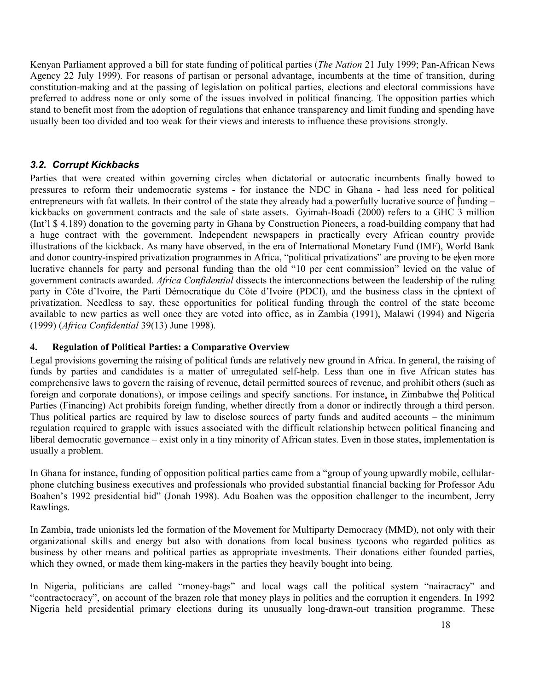Kenyan Parliament approved a bill for state funding of political parties (The Nation 21 July 1999; Pan-African News Agency 22 July 1999). For reasons of partisan or personal advantage, incumbents at the time of transition, during constitution-making and at the passing of legislation on political parties, elections and electoral commissions have preferred to address none or only some of the issues involved in political financing. The opposition parties which stand to benefit most from the adoption of regulations that enhance transparency and limit funding and spending have usually been too divided and too weak for their views and interests to influence these provisions strongly.

# 3.2. Corrupt Kickbacks

Parties that were created within governing circles when dictatorial or autocratic incumbents finally bowed to pressures to reform their undemocratic systems - for instance the NDC in Ghana - had less need for political entrepreneurs with fat wallets. In their control of the state they already had a powerfully lucrative source of funding – kickbacks on government contracts and the sale of state assets. Gyimah-Boadi (2000) refers to a GHC 3 million (Int'l \$ 4.189) donation to the governing party in Ghana by Construction Pioneers, a road-building company that had a huge contract with the government. Independent newspapers in practically every African country provide illustrations of the kickback. As many have observed, in the era of International Monetary Fund (IMF), World Bank and donor country-inspired privatization programmes in Africa, "political privatizations" are proving to be even more lucrative channels for party and personal funding than the old "10 per cent commission" levied on the value of government contracts awarded. Africa Confidential dissects the interconnections between the leadership of the ruling party in Côte d'Ivoire, the Parti Démocratique du Côte d'Ivoire (PDCI), and the business class in the context of privatization. Needless to say, these opportunities for political funding through the control of the state become available to new parties as well once they are voted into office, as in Zambia (1991), Malawi (1994) and Nigeria (1999) (Africa Confidential 39(13) June 1998).

## 4. Regulation of Political Parties: a Comparative Overview

Legal provisions governing the raising of political funds are relatively new ground in Africa. In general, the raising of funds by parties and candidates is a matter of unregulated self-help. Less than one in five African states has comprehensive laws to govern the raising of revenue, detail permitted sources of revenue, and prohibit others (such as foreign and corporate donations), or impose ceilings and specify sanctions. For instance, in Zimbabwe the Political Parties (Financing) Act prohibits foreign funding, whether directly from a donor or indirectly through a third person. Thus political parties are required by law to disclose sources of party funds and audited accounts – the minimum regulation required to grapple with issues associated with the difficult relationship between political financing and liberal democratic governance – exist only in a tiny minority of African states. Even in those states, implementation is usually a problem.

In Ghana for instance, funding of opposition political parties came from a "group of young upwardly mobile, cellularphone clutching business executives and professionals who provided substantial financial backing for Professor Adu Boahen's 1992 presidential bid" (Jonah 1998). Adu Boahen was the opposition challenger to the incumbent, Jerry Rawlings.

In Zambia, trade unionists led the formation of the Movement for Multiparty Democracy (MMD), not only with their organizational skills and energy but also with donations from local business tycoons who regarded politics as business by other means and political parties as appropriate investments. Their donations either founded parties, which they owned, or made them king-makers in the parties they heavily bought into being.

In Nigeria, politicians are called "money-bags" and local wags call the political system "nairacracy" and "contractocracy", on account of the brazen role that money plays in politics and the corruption it engenders. In 1992 Nigeria held presidential primary elections during its unusually long-drawn-out transition programme. These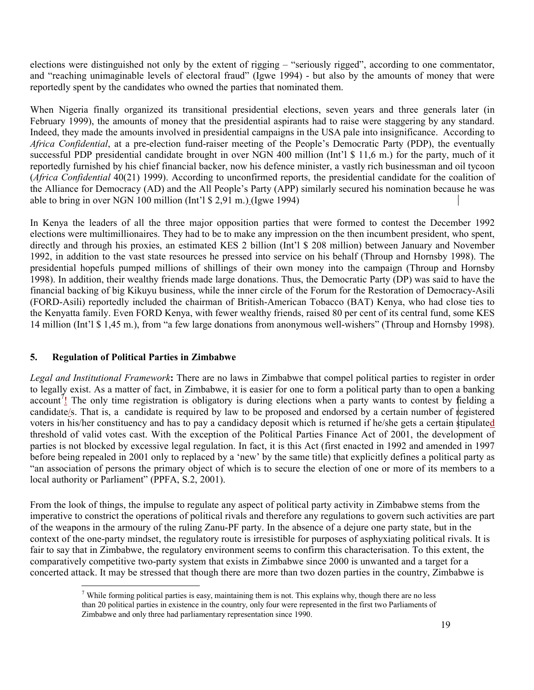elections were distinguished not only by the extent of rigging – "seriously rigged", according to one commentator, and "reaching unimaginable levels of electoral fraud" (Igwe 1994) - but also by the amounts of money that were reportedly spent by the candidates who owned the parties that nominated them.

When Nigeria finally organized its transitional presidential elections, seven years and three generals later (in February 1999), the amounts of money that the presidential aspirants had to raise were staggering by any standard. Indeed, they made the amounts involved in presidential campaigns in the USA pale into insignificance. According to Africa Confidential, at a pre-election fund-raiser meeting of the People's Democratic Party (PDP), the eventually successful PDP presidential candidate brought in over NGN 400 million (Int'l \$ 11,6 m.) for the party, much of it reportedly furnished by his chief financial backer, now his defence minister, a vastly rich businessman and oil tycoon (Africa Confidential 40(21) 1999). According to unconfirmed reports, the presidential candidate for the coalition of the Alliance for Democracy (AD) and the All People's Party (APP) similarly secured his nomination because he was able to bring in over NGN 100 million (Int'l \$ 2,91 m.) (Igwe 1994)

In Kenya the leaders of all the three major opposition parties that were formed to contest the December 1992 elections were multimillionaires. They had to be to make any impression on the then incumbent president, who spent, directly and through his proxies, an estimated KES 2 billion (Int'l \$ 208 million) between January and November 1992, in addition to the vast state resources he pressed into service on his behalf (Throup and Hornsby 1998). The presidential hopefuls pumped millions of shillings of their own money into the campaign (Throup and Hornsby 1998). In addition, their wealthy friends made large donations. Thus, the Democratic Party (DP) was said to have the financial backing of big Kikuyu business, while the inner circle of the Forum for the Restoration of Democracy-Asili (FORD-Asili) reportedly included the chairman of British-American Tobacco (BAT) Kenya, who had close ties to the Kenyatta family. Even FORD Kenya, with fewer wealthy friends, raised 80 per cent of its central fund, some KES 14 million (Int'l \$ 1,45 m.), from "a few large donations from anonymous well-wishers" (Throup and Hornsby 1998).

# 5. Regulation of Political Parties in Zimbabwe

Legal and Institutional Framework: There are no laws in Zimbabwe that compel political parties to register in order to legally exist. As a matter of fact, in Zimbabwe, it is easier for one to form a political party than to open a banking account<sup>7</sup>! The only time registration is obligatory is during elections when a party wants to contest by fielding a candidate/s. That is, a candidate is required by law to be proposed and endorsed by a certain number of registered voters in his/her constituency and has to pay a candidacy deposit which is returned if he/she gets a certain stipulated threshold of valid votes cast. With the exception of the Political Parties Finance Act of 2001, the development of parties is not blocked by excessive legal regulation. In fact, it is this Act (first enacted in 1992 and amended in 1997 before being repealed in 2001 only to replaced by a 'new' by the same title) that explicitly defines a political party as "an association of persons the primary object of which is to secure the election of one or more of its members to a local authority or Parliament" (PPFA, S.2, 2001).

From the look of things, the impulse to regulate any aspect of political party activity in Zimbabwe stems from the imperative to constrict the operations of political rivals and therefore any regulations to govern such activities are part of the weapons in the armoury of the ruling Zanu-PF party. In the absence of a dejure one party state, but in the context of the one-party mindset, the regulatory route is irresistible for purposes of asphyxiating political rivals. It is fair to say that in Zimbabwe, the regulatory environment seems to confirm this characterisation. To this extent, the comparatively competitive two-party system that exists in Zimbabwe since 2000 is unwanted and a target for a concerted attack. It may be stressed that though there are more than two dozen parties in the country, Zimbabwe is

<sup>&</sup>lt;sup>7</sup> While forming political parties is easy, maintaining them is not. This explains why, though there are no less than 20 political parties in existence in the country, only four were represented in the first two Parliaments of Zimbabwe and only three had parliamentary representation since 1990.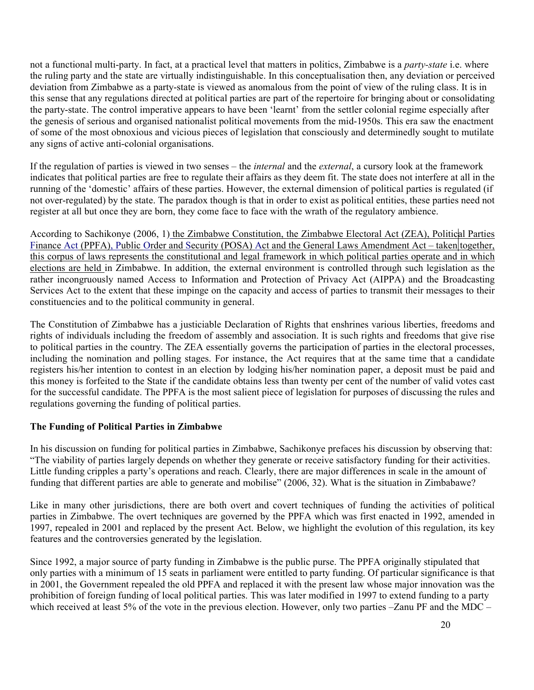not a functional multi-party. In fact, at a practical level that matters in politics, Zimbabwe is a *party-state* i.e. where the ruling party and the state are virtually indistinguishable. In this conceptualisation then, any deviation or perceived deviation from Zimbabwe as a party-state is viewed as anomalous from the point of view of the ruling class. It is in this sense that any regulations directed at political parties are part of the repertoire for bringing about or consolidating the party-state. The control imperative appears to have been 'learnt' from the settler colonial regime especially after the genesis of serious and organised nationalist political movements from the mid-1950s. This era saw the enactment of some of the most obnoxious and vicious pieces of legislation that consciously and determinedly sought to mutilate any signs of active anti-colonial organisations.

If the regulation of parties is viewed in two senses – the internal and the external, a cursory look at the framework indicates that political parties are free to regulate their affairs as they deem fit. The state does not interfere at all in the running of the 'domestic' affairs of these parties. However, the external dimension of political parties is regulated (if not over-regulated) by the state. The paradox though is that in order to exist as political entities, these parties need not register at all but once they are born, they come face to face with the wrath of the regulatory ambience.

According to Sachikonye (2006, 1) the Zimbabwe Constitution, the Zimbabwe Electoral Act (ZEA), Political Parties Finance Act (PPFA), Public Order and Security (POSA) Act and the General Laws Amendment Act – taken together, this corpus of laws represents the constitutional and legal framework in which political parties operate and in which elections are held in Zimbabwe. In addition, the external environment is controlled through such legislation as the rather incongruously named Access to Information and Protection of Privacy Act (AIPPA) and the Broadcasting Services Act to the extent that these impinge on the capacity and access of parties to transmit their messages to their constituencies and to the political community in general.

The Constitution of Zimbabwe has a justiciable Declaration of Rights that enshrines various liberties, freedoms and rights of individuals including the freedom of assembly and association. It is such rights and freedoms that give rise to political parties in the country. The ZEA essentially governs the participation of parties in the electoral processes, including the nomination and polling stages. For instance, the Act requires that at the same time that a candidate registers his/her intention to contest in an election by lodging his/her nomination paper, a deposit must be paid and this money is forfeited to the State if the candidate obtains less than twenty per cent of the number of valid votes cast for the successful candidate. The PPFA is the most salient piece of legislation for purposes of discussing the rules and regulations governing the funding of political parties.

## The Funding of Political Parties in Zimbabwe

In his discussion on funding for political parties in Zimbabwe, Sachikonye prefaces his discussion by observing that: "The viability of parties largely depends on whether they generate or receive satisfactory funding for their activities. Little funding cripples a party's operations and reach. Clearly, there are major differences in scale in the amount of funding that different parties are able to generate and mobilise" (2006, 32). What is the situation in Zimbabawe?

Like in many other jurisdictions, there are both overt and covert techniques of funding the activities of political parties in Zimbabwe. The overt techniques are governed by the PPFA which was first enacted in 1992, amended in 1997, repealed in 2001 and replaced by the present Act. Below, we highlight the evolution of this regulation, its key features and the controversies generated by the legislation.

Since 1992, a major source of party funding in Zimbabwe is the public purse. The PPFA originally stipulated that only parties with a minimum of 15 seats in parliament were entitled to party funding. Of particular significance is that in 2001, the Government repealed the old PPFA and replaced it with the present law whose major innovation was the prohibition of foreign funding of local political parties. This was later modified in 1997 to extend funding to a party which received at least 5% of the vote in the previous election. However, only two parties –Zanu PF and the MDC –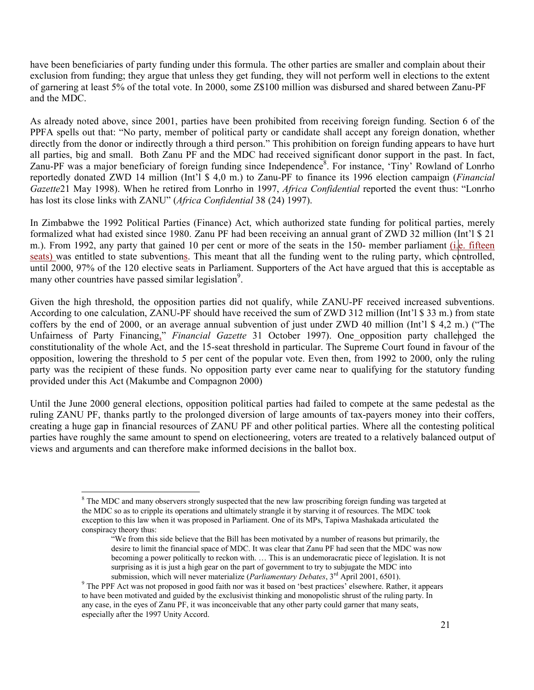have been beneficiaries of party funding under this formula. The other parties are smaller and complain about their exclusion from funding; they argue that unless they get funding, they will not perform well in elections to the extent of garnering at least 5% of the total vote. In 2000, some Z\$100 million was disbursed and shared between Zanu-PF and the MDC.

As already noted above, since 2001, parties have been prohibited from receiving foreign funding. Section 6 of the PPFA spells out that: "No party, member of political party or candidate shall accept any foreign donation, whether directly from the donor or indirectly through a third person." This prohibition on foreign funding appears to have hurt all parties, big and small. Both Zanu PF and the MDC had received significant donor support in the past. In fact, Zanu-PF was a major beneficiary of foreign funding since Independence<sup>8</sup>. For instance, 'Tiny' Rowland of Lonrho reportedly donated ZWD 14 million (Int'l \$ 4,0 m.) to Zanu-PF to finance its 1996 election campaign (Financial Gazette21 May 1998). When he retired from Lonrho in 1997, Africa Confidential reported the event thus: "Lonrho has lost its close links with ZANU" (Africa Confidential 38 (24) 1997).

In Zimbabwe the 1992 Political Parties (Finance) Act, which authorized state funding for political parties, merely formalized what had existed since 1980. Zanu PF had been receiving an annual grant of ZWD 32 million (Int'l \$ 21 m.). From 1992, any party that gained 10 per cent or more of the seats in the 150- member parliament (i.e. fifteen seats) was entitled to state subventions. This meant that all the funding went to the ruling party, which controlled, until 2000, 97% of the 120 elective seats in Parliament. Supporters of the Act have argued that this is acceptable as many other countries have passed similar legislation<sup>9</sup>.

Given the high threshold, the opposition parties did not qualify, while ZANU-PF received increased subventions. According to one calculation, ZANU-PF should have received the sum of ZWD 312 million (Int'l \$ 33 m.) from state coffers by the end of 2000, or an average annual subvention of just under ZWD 40 million (Int'l \$ 4,2 m.) ("The Unfairness of Party Financing," Financial Gazette 31 October 1997). One opposition party challenged the constitutionality of the whole Act, and the 15-seat threshold in particular. The Supreme Court found in favour of the opposition, lowering the threshold to 5 per cent of the popular vote. Even then, from 1992 to 2000, only the ruling party was the recipient of these funds. No opposition party ever came near to qualifying for the statutory funding provided under this Act (Makumbe and Compagnon 2000)

Until the June 2000 general elections, opposition political parties had failed to compete at the same pedestal as the ruling ZANU PF, thanks partly to the prolonged diversion of large amounts of tax-payers money into their coffers, creating a huge gap in financial resources of ZANU PF and other political parties. Where all the contesting political parties have roughly the same amount to spend on electioneering, voters are treated to a relatively balanced output of views and arguments and can therefore make informed decisions in the ballot box.

 $\overline{a}$ <sup>8</sup> The MDC and many observers strongly suspected that the new law proscribing foreign funding was targeted at the MDC so as to cripple its operations and ultimately strangle it by starving it of resources. The MDC took exception to this law when it was proposed in Parliament. One of its MPs, Tapiwa Mashakada articulated the conspiracy theory thus:

<sup>&</sup>quot;We from this side believe that the Bill has been motivated by a number of reasons but primarily, the desire to limit the financial space of MDC. It was clear that Zanu PF had seen that the MDC was now becoming a power politically to reckon with. … This is an undemoracratic piece of legislation. It is not surprising as it is just a high gear on the part of government to try to subjugate the MDC into submission, which will never materialize (*Parliamentary Debates*, 3<sup>rd</sup> April 2001, 6501).

<sup>&</sup>lt;sup>9</sup> The PPF Act was not proposed in good faith nor was it based on 'best practices' elsewhere. Rather, it appears to have been motivated and guided by the exclusivist thinking and monopolistic shrust of the ruling party. In any case, in the eyes of Zanu PF, it was inconceivable that any other party could garner that many seats, especially after the 1997 Unity Accord.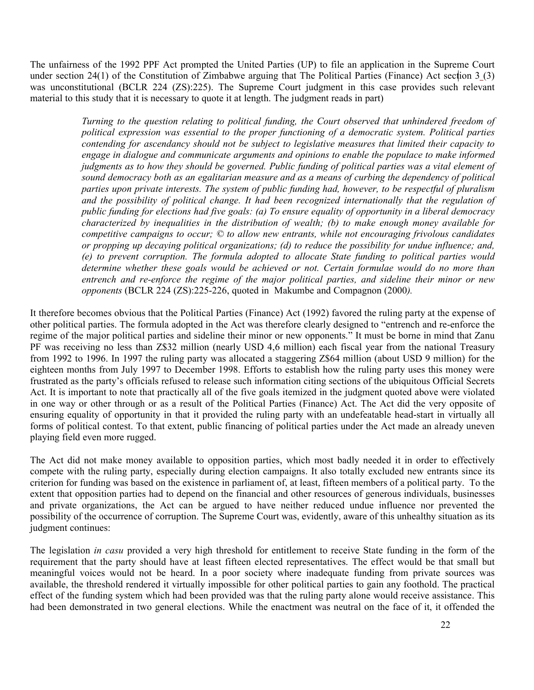The unfairness of the 1992 PPF Act prompted the United Parties (UP) to file an application in the Supreme Court under section 24(1) of the Constitution of Zimbabwe arguing that The Political Parties (Finance) Act section 3 (3) was unconstitutional (BCLR 224 (ZS):225). The Supreme Court judgment in this case provides such relevant material to this study that it is necessary to quote it at length. The judgment reads in part)

> Turning to the question relating to political funding, the Court observed that unhindered freedom of political expression was essential to the proper functioning of a democratic system. Political parties contending for ascendancy should not be subject to legislative measures that limited their capacity to engage in dialogue and communicate arguments and opinions to enable the populace to make informed judgments as to how they should be governed. Public funding of political parties was a vital element of sound democracy both as an egalitarian measure and as a means of curbing the dependency of political parties upon private interests. The system of public funding had, however, to be respectful of pluralism and the possibility of political change. It had been recognized internationally that the regulation of public funding for elections had five goals: (a) To ensure equality of opportunity in a liberal democracy characterized by inequalities in the distribution of wealth; (b) to make enough money available for competitive campaigns to occur; © to allow new entrants, while not encouraging frivolous candidates or propping up decaying political organizations; (d) to reduce the possibility for undue influence; and, (e) to prevent corruption. The formula adopted to allocate State funding to political parties would determine whether these goals would be achieved or not. Certain formulae would do no more than entrench and re-enforce the regime of the major political parties, and sideline their minor or new opponents (BCLR 224 (ZS):225-226, quoted in Makumbe and Compagnon (2000).

It therefore becomes obvious that the Political Parties (Finance) Act (1992) favored the ruling party at the expense of other political parties. The formula adopted in the Act was therefore clearly designed to "entrench and re-enforce the regime of the major political parties and sideline their minor or new opponents." It must be borne in mind that Zanu PF was receiving no less than Z\$32 million (nearly USD 4,6 million) each fiscal year from the national Treasury from 1992 to 1996. In 1997 the ruling party was allocated a staggering Z\$64 million (about USD 9 million) for the eighteen months from July 1997 to December 1998. Efforts to establish how the ruling party uses this money were frustrated as the party's officials refused to release such information citing sections of the ubiquitous Official Secrets Act. It is important to note that practically all of the five goals itemized in the judgment quoted above were violated in one way or other through or as a result of the Political Parties (Finance) Act. The Act did the very opposite of ensuring equality of opportunity in that it provided the ruling party with an undefeatable head-start in virtually all forms of political contest. To that extent, public financing of political parties under the Act made an already uneven playing field even more rugged.

The Act did not make money available to opposition parties, which most badly needed it in order to effectively compete with the ruling party, especially during election campaigns. It also totally excluded new entrants since its criterion for funding was based on the existence in parliament of, at least, fifteen members of a political party. To the extent that opposition parties had to depend on the financial and other resources of generous individuals, businesses and private organizations, the Act can be argued to have neither reduced undue influence nor prevented the possibility of the occurrence of corruption. The Supreme Court was, evidently, aware of this unhealthy situation as its judgment continues:

The legislation *in casu* provided a very high threshold for entitlement to receive State funding in the form of the requirement that the party should have at least fifteen elected representatives. The effect would be that small but meaningful voices would not be heard. In a poor society where inadequate funding from private sources was available, the threshold rendered it virtually impossible for other political parties to gain any foothold. The practical effect of the funding system which had been provided was that the ruling party alone would receive assistance. This had been demonstrated in two general elections. While the enactment was neutral on the face of it, it offended the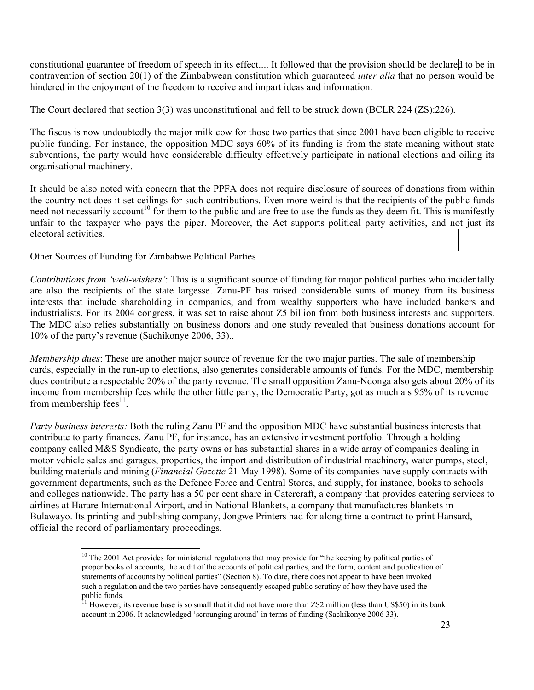constitutional guarantee of freedom of speech in its effect.... It followed that the provision should be declared to be in contravention of section 20(1) of the Zimbabwean constitution which guaranteed *inter alia* that no person would be hindered in the enjoyment of the freedom to receive and impart ideas and information.

The Court declared that section 3(3) was unconstitutional and fell to be struck down (BCLR 224 (ZS):226).

The fiscus is now undoubtedly the major milk cow for those two parties that since 2001 have been eligible to receive public funding. For instance, the opposition MDC says 60% of its funding is from the state meaning without state subventions, the party would have considerable difficulty effectively participate in national elections and oiling its organisational machinery.

It should be also noted with concern that the PPFA does not require disclosure of sources of donations from within the country not does it set ceilings for such contributions. Even more weird is that the recipients of the public funds need not necessarily account<sup>10</sup> for them to the public and are free to use the funds as they deem fit. This is manifestly unfair to the taxpayer who pays the piper. Moreover, the Act supports political party activities, and not just its electoral activities.

Other Sources of Funding for Zimbabwe Political Parties

 $\overline{a}$ 

Contributions from 'well-wishers': This is a significant source of funding for major political parties who incidentally are also the recipients of the state largesse. Zanu-PF has raised considerable sums of money from its business interests that include shareholding in companies, and from wealthy supporters who have included bankers and industrialists. For its 2004 congress, it was set to raise about Z5 billion from both business interests and supporters. The MDC also relies substantially on business donors and one study revealed that business donations account for 10% of the party's revenue (Sachikonye 2006, 33)..

Membership dues: These are another major source of revenue for the two major parties. The sale of membership cards, especially in the run-up to elections, also generates considerable amounts of funds. For the MDC, membership dues contribute a respectable 20% of the party revenue. The small opposition Zanu-Ndonga also gets about 20% of its income from membership fees while the other little party, the Democratic Party, got as much a s 95% of its revenue from membership fees $11$ .

Party business interests: Both the ruling Zanu PF and the opposition MDC have substantial business interests that contribute to party finances. Zanu PF, for instance, has an extensive investment portfolio. Through a holding company called M&S Syndicate, the party owns or has substantial shares in a wide array of companies dealing in motor vehicle sales and garages, properties, the import and distribution of industrial machinery, water pumps, steel, building materials and mining (*Financial Gazette* 21 May 1998). Some of its companies have supply contracts with government departments, such as the Defence Force and Central Stores, and supply, for instance, books to schools and colleges nationwide. The party has a 50 per cent share in Catercraft, a company that provides catering services to airlines at Harare International Airport, and in National Blankets, a company that manufactures blankets in Bulawayo. Its printing and publishing company, Jongwe Printers had for along time a contract to print Hansard, official the record of parliamentary proceedings.

<sup>&</sup>lt;sup>10</sup> The 2001 Act provides for ministerial regulations that may provide for "the keeping by political parties of proper books of accounts, the audit of the accounts of political parties, and the form, content and publication of statements of accounts by political parties" (Section 8). To date, there does not appear to have been invoked such a regulation and the two parties have consequently escaped public scrutiny of how they have used the public funds.

<sup>11</sup> However, its revenue base is so small that it did not have more than Z\$2 million (less than US\$50) in its bank account in 2006. It acknowledged 'scrounging around' in terms of funding (Sachikonye 2006 33).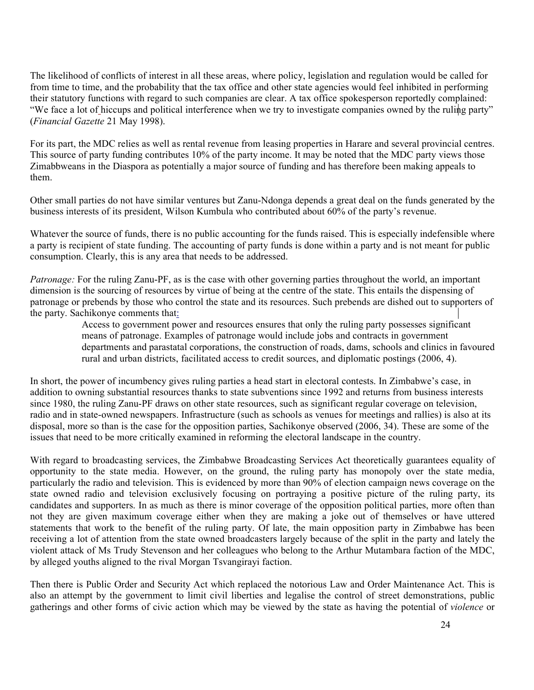The likelihood of conflicts of interest in all these areas, where policy, legislation and regulation would be called for from time to time, and the probability that the tax office and other state agencies would feel inhibited in performing their statutory functions with regard to such companies are clear. A tax office spokesperson reportedly complained: "We face a lot of hiccups and political interference when we try to investigate companies owned by the ruling party" (Financial Gazette 21 May 1998).

For its part, the MDC relies as well as rental revenue from leasing properties in Harare and several provincial centres. This source of party funding contributes 10% of the party income. It may be noted that the MDC party views those Zimabbweans in the Diaspora as potentially a major source of funding and has therefore been making appeals to them.

Other small parties do not have similar ventures but Zanu-Ndonga depends a great deal on the funds generated by the business interests of its president, Wilson Kumbula who contributed about 60% of the party's revenue.

Whatever the source of funds, there is no public accounting for the funds raised. This is especially indefensible where a party is recipient of state funding. The accounting of party funds is done within a party and is not meant for public consumption. Clearly, this is any area that needs to be addressed.

Patronage: For the ruling Zanu-PF, as is the case with other governing parties throughout the world, an important dimension is the sourcing of resources by virtue of being at the centre of the state. This entails the dispensing of patronage or prebends by those who control the state and its resources. Such prebends are dished out to supporters of the party. Sachikonye comments that:

Access to government power and resources ensures that only the ruling party possesses significant means of patronage. Examples of patronage would include jobs and contracts in government departments and parastatal corporations, the construction of roads, dams, schools and clinics in favoured rural and urban districts, facilitated access to credit sources, and diplomatic postings (2006, 4).

In short, the power of incumbency gives ruling parties a head start in electoral contests. In Zimbabwe's case, in addition to owning substantial resources thanks to state subventions since 1992 and returns from business interests since 1980, the ruling Zanu-PF draws on other state resources, such as significant regular coverage on television, radio and in state-owned newspapers. Infrastructure (such as schools as venues for meetings and rallies) is also at its disposal, more so than is the case for the opposition parties, Sachikonye observed (2006, 34). These are some of the issues that need to be more critically examined in reforming the electoral landscape in the country.

With regard to broadcasting services, the Zimbabwe Broadcasting Services Act theoretically guarantees equality of opportunity to the state media. However, on the ground, the ruling party has monopoly over the state media, particularly the radio and television. This is evidenced by more than 90% of election campaign news coverage on the state owned radio and television exclusively focusing on portraying a positive picture of the ruling party, its candidates and supporters. In as much as there is minor coverage of the opposition political parties, more often than not they are given maximum coverage either when they are making a joke out of themselves or have uttered statements that work to the benefit of the ruling party. Of late, the main opposition party in Zimbabwe has been receiving a lot of attention from the state owned broadcasters largely because of the split in the party and lately the violent attack of Ms Trudy Stevenson and her colleagues who belong to the Arthur Mutambara faction of the MDC, by alleged youths aligned to the rival Morgan Tsvangirayi faction.

Then there is Public Order and Security Act which replaced the notorious Law and Order Maintenance Act. This is also an attempt by the government to limit civil liberties and legalise the control of street demonstrations, public gatherings and other forms of civic action which may be viewed by the state as having the potential of violence or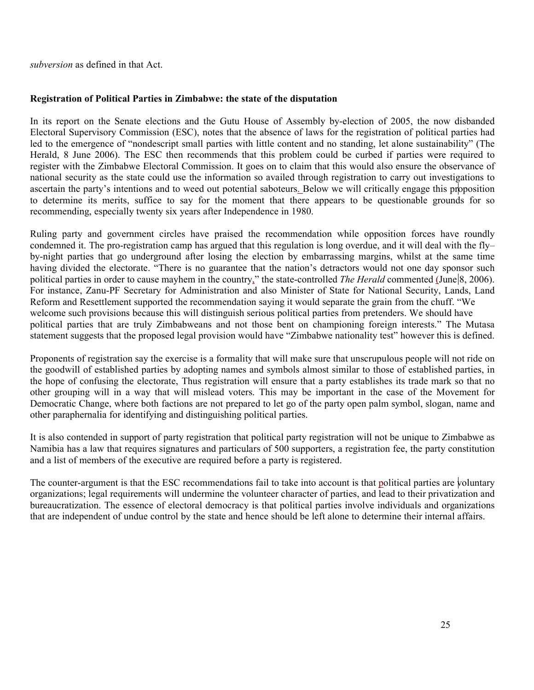subversion as defined in that Act.

## Registration of Political Parties in Zimbabwe: the state of the disputation

In its report on the Senate elections and the Gutu House of Assembly by-election of 2005, the now disbanded Electoral Supervisory Commission (ESC), notes that the absence of laws for the registration of political parties had led to the emergence of "nondescript small parties with little content and no standing, let alone sustainability" (The Herald, 8 June 2006). The ESC then recommends that this problem could be curbed if parties were required to register with the Zimbabwe Electoral Commission. It goes on to claim that this would also ensure the observance of national security as the state could use the information so availed through registration to carry out investigations to ascertain the party's intentions and to weed out potential saboteurs. Below we will critically engage this proposition to determine its merits, suffice to say for the moment that there appears to be questionable grounds for so recommending, especially twenty six years after Independence in 1980.

Ruling party and government circles have praised the recommendation while opposition forces have roundly condemned it. The pro-registration camp has argued that this regulation is long overdue, and it will deal with the fly– by-night parties that go underground after losing the election by embarrassing margins, whilst at the same time having divided the electorate. "There is no guarantee that the nation's detractors would not one day sponsor such political parties in order to cause mayhem in the country," the state-controlled The Herald commented (June 8, 2006). For instance, Zanu-PF Secretary for Administration and also Minister of State for National Security, Lands, Land Reform and Resettlement supported the recommendation saying it would separate the grain from the chuff. "We welcome such provisions because this will distinguish serious political parties from pretenders. We should have political parties that are truly Zimbabweans and not those bent on championing foreign interests." The Mutasa statement suggests that the proposed legal provision would have "Zimbabwe nationality test" however this is defined.

Proponents of registration say the exercise is a formality that will make sure that unscrupulous people will not ride on the goodwill of established parties by adopting names and symbols almost similar to those of established parties, in the hope of confusing the electorate, Thus registration will ensure that a party establishes its trade mark so that no other grouping will in a way that will mislead voters. This may be important in the case of the Movement for Democratic Change, where both factions are not prepared to let go of the party open palm symbol, slogan, name and other paraphernalia for identifying and distinguishing political parties.

It is also contended in support of party registration that political party registration will not be unique to Zimbabwe as Namibia has a law that requires signatures and particulars of 500 supporters, a registration fee, the party constitution and a list of members of the executive are required before a party is registered.

The counter-argument is that the ESC recommendations fail to take into account is that political parties are voluntary organizations; legal requirements will undermine the volunteer character of parties, and lead to their privatization and bureaucratization. The essence of electoral democracy is that political parties involve individuals and organizations that are independent of undue control by the state and hence should be left alone to determine their internal affairs.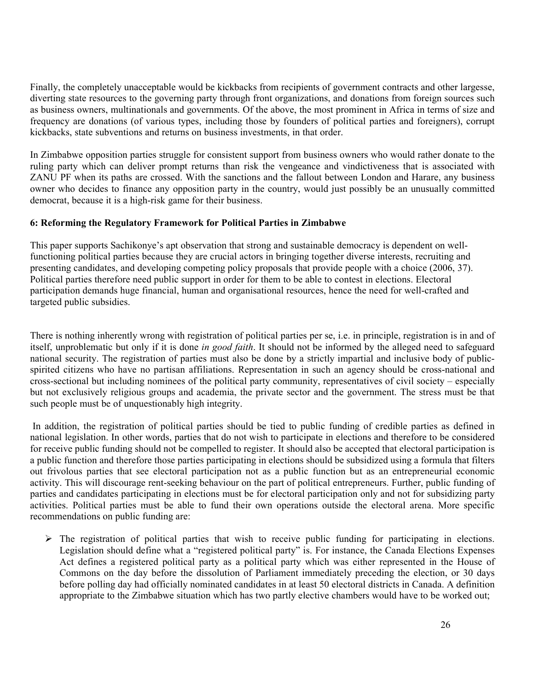Finally, the completely unacceptable would be kickbacks from recipients of government contracts and other largesse, diverting state resources to the governing party through front organizations, and donations from foreign sources such as business owners, multinationals and governments. Of the above, the most prominent in Africa in terms of size and frequency are donations (of various types, including those by founders of political parties and foreigners), corrupt kickbacks, state subventions and returns on business investments, in that order.

In Zimbabwe opposition parties struggle for consistent support from business owners who would rather donate to the ruling party which can deliver prompt returns than risk the vengeance and vindictiveness that is associated with ZANU PF when its paths are crossed. With the sanctions and the fallout between London and Harare, any business owner who decides to finance any opposition party in the country, would just possibly be an unusually committed democrat, because it is a high-risk game for their business.

## 6: Reforming the Regulatory Framework for Political Parties in Zimbabwe

This paper supports Sachikonye's apt observation that strong and sustainable democracy is dependent on wellfunctioning political parties because they are crucial actors in bringing together diverse interests, recruiting and presenting candidates, and developing competing policy proposals that provide people with a choice (2006, 37). Political parties therefore need public support in order for them to be able to contest in elections. Electoral participation demands huge financial, human and organisational resources, hence the need for well-crafted and targeted public subsidies.

There is nothing inherently wrong with registration of political parties per se, i.e. in principle, registration is in and of itself, unproblematic but only if it is done in good faith. It should not be informed by the alleged need to safeguard national security. The registration of parties must also be done by a strictly impartial and inclusive body of publicspirited citizens who have no partisan affiliations. Representation in such an agency should be cross-national and cross-sectional but including nominees of the political party community, representatives of civil society – especially but not exclusively religious groups and academia, the private sector and the government. The stress must be that such people must be of unquestionably high integrity.

 In addition, the registration of political parties should be tied to public funding of credible parties as defined in national legislation. In other words, parties that do not wish to participate in elections and therefore to be considered for receive public funding should not be compelled to register. It should also be accepted that electoral participation is a public function and therefore those parties participating in elections should be subsidized using a formula that filters out frivolous parties that see electoral participation not as a public function but as an entrepreneurial economic activity. This will discourage rent-seeking behaviour on the part of political entrepreneurs. Further, public funding of parties and candidates participating in elections must be for electoral participation only and not for subsidizing party activities. Political parties must be able to fund their own operations outside the electoral arena. More specific recommendations on public funding are:

- The registration of political parties that wish to receive public funding for participating in elections. Legislation should define what a "registered political party" is. For instance, the Canada Elections Expenses Act defines a registered political party as a political party which was either represented in the House of Commons on the day before the dissolution of Parliament immediately preceding the election, or 30 days before polling day had officially nominated candidates in at least 50 electoral districts in Canada. A definition appropriate to the Zimbabwe situation which has two partly elective chambers would have to be worked out;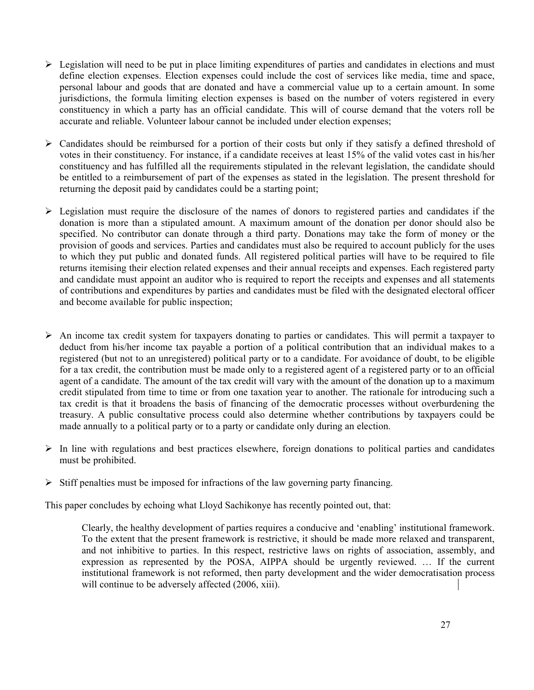- > Legislation will need to be put in place limiting expenditures of parties and candidates in elections and must define election expenses. Election expenses could include the cost of services like media, time and space, personal labour and goods that are donated and have a commercial value up to a certain amount. In some jurisdictions, the formula limiting election expenses is based on the number of voters registered in every constituency in which a party has an official candidate. This will of course demand that the voters roll be accurate and reliable. Volunteer labour cannot be included under election expenses;
- > Candidates should be reimbursed for a portion of their costs but only if they satisfy a defined threshold of votes in their constituency. For instance, if a candidate receives at least 15% of the valid votes cast in his/her constituency and has fulfilled all the requirements stipulated in the relevant legislation, the candidate should be entitled to a reimbursement of part of the expenses as stated in the legislation. The present threshold for returning the deposit paid by candidates could be a starting point;
- > Legislation must require the disclosure of the names of donors to registered parties and candidates if the donation is more than a stipulated amount. A maximum amount of the donation per donor should also be specified. No contributor can donate through a third party. Donations may take the form of money or the provision of goods and services. Parties and candidates must also be required to account publicly for the uses to which they put public and donated funds. All registered political parties will have to be required to file returns itemising their election related expenses and their annual receipts and expenses. Each registered party and candidate must appoint an auditor who is required to report the receipts and expenses and all statements of contributions and expenditures by parties and candidates must be filed with the designated electoral officer and become available for public inspection;
- > An income tax credit system for taxpayers donating to parties or candidates. This will permit a taxpayer to deduct from his/her income tax payable a portion of a political contribution that an individual makes to a registered (but not to an unregistered) political party or to a candidate. For avoidance of doubt, to be eligible for a tax credit, the contribution must be made only to a registered agent of a registered party or to an official agent of a candidate. The amount of the tax credit will vary with the amount of the donation up to a maximum credit stipulated from time to time or from one taxation year to another. The rationale for introducing such a tax credit is that it broadens the basis of financing of the democratic processes without overburdening the treasury. A public consultative process could also determine whether contributions by taxpayers could be made annually to a political party or to a party or candidate only during an election.
- > In line with regulations and best practices elsewhere, foreign donations to political parties and candidates must be prohibited.
- > Stiff penalties must be imposed for infractions of the law governing party financing.

This paper concludes by echoing what Lloyd Sachikonye has recently pointed out, that:

Clearly, the healthy development of parties requires a conducive and 'enabling' institutional framework. To the extent that the present framework is restrictive, it should be made more relaxed and transparent, and not inhibitive to parties. In this respect, restrictive laws on rights of association, assembly, and expression as represented by the POSA, AIPPA should be urgently reviewed. … If the current institutional framework is not reformed, then party development and the wider democratisation process will continue to be adversely affected (2006, xiii).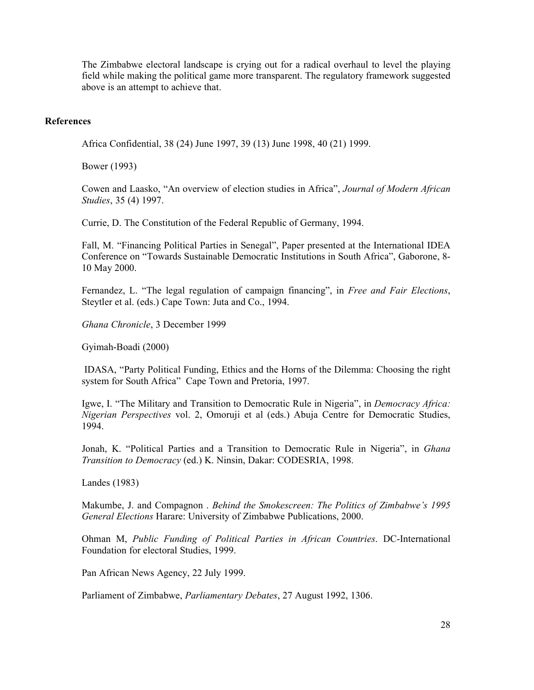The Zimbabwe electoral landscape is crying out for a radical overhaul to level the playing field while making the political game more transparent. The regulatory framework suggested above is an attempt to achieve that.

#### References

Africa Confidential, 38 (24) June 1997, 39 (13) June 1998, 40 (21) 1999.

Bower (1993)

Cowen and Laasko, "An overview of election studies in Africa", Journal of Modern African Studies, 35 (4) 1997.

Currie, D. The Constitution of the Federal Republic of Germany, 1994.

Fall, M. "Financing Political Parties in Senegal", Paper presented at the International IDEA Conference on "Towards Sustainable Democratic Institutions in South Africa", Gaborone, 8- 10 May 2000.

Fernandez, L. "The legal regulation of campaign financing", in Free and Fair Elections, Steytler et al. (eds.) Cape Town: Juta and Co., 1994.

Ghana Chronicle, 3 December 1999

Gyimah-Boadi (2000)

 IDASA, "Party Political Funding, Ethics and the Horns of the Dilemma: Choosing the right system for South Africa" Cape Town and Pretoria, 1997.

Igwe, I. "The Military and Transition to Democratic Rule in Nigeria", in Democracy Africa: Nigerian Perspectives vol. 2, Omoruji et al (eds.) Abuja Centre for Democratic Studies, 1994.

Jonah, K. "Political Parties and a Transition to Democratic Rule in Nigeria", in *Ghana* Transition to Democracy (ed.) K. Ninsin, Dakar: CODESRIA, 1998.

Landes (1983)

Makumbe, J. and Compagnon . Behind the Smokescreen: The Politics of Zimbabwe's 1995 General Elections Harare: University of Zimbabwe Publications, 2000.

Ohman M, Public Funding of Political Parties in African Countries. DC-International Foundation for electoral Studies, 1999.

Pan African News Agency, 22 July 1999.

Parliament of Zimbabwe, Parliamentary Debates, 27 August 1992, 1306.